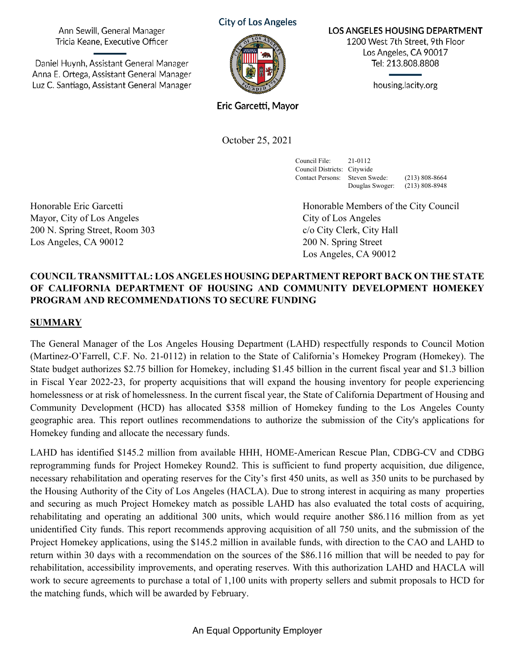Ann Sewill, General Manager Tricia Keane, Executive Officer

Daniel Huynh, Assistant General Manager Anna E. Ortega, Assistant General Manager Luz C. Santiago, Assistant General Manager **City of Los Angeles** 



**LOS ANGELES HOUSING DEPARTMENT** 

1200 West 7th Street, 9th Floor Los Angeles, CA 90017 Tel: 213.808.8808

housing.lacity.org

Eric Garcetti, Mayor

October 25, 2021

Council File: 21-0112 Council Districts: Citywide Contact Persons: Steven Swede: (213) 808-8664

Douglas Swoger: (213) 808-8948

Mayor, City of Los Angeles City of Los Angeles 200 N. Spring Street, Room 303 c/o City Clerk, City Hall Los Angeles, CA 90012 200 N. Spring Street

Honorable Eric Garcetti Honorable Members of the City Council Los Angeles, CA 90012

#### **COUNCIL TRANSMITTAL: LOS ANGELES HOUSING DEPARTMENT REPORT BACK ON THE STATE OF CALIFORNIA DEPARTMENT OF HOUSING AND COMMUNITY DEVELOPMENT HOMEKEY PROGRAM AND RECOMMENDATIONS TO SECURE FUNDING**

#### **SUMMARY**

The General Manager of the Los Angeles Housing Department (LAHD) respectfully responds to Council Motion (Martinez-O'Farrell, C.F. No. 21-0112) in relation to the State of California's Homekey Program (Homekey). The State budget authorizes \$2.75 billion for Homekey, including \$1.45 billion in the current fiscal year and \$1.3 billion in Fiscal Year 2022-23, for property acquisitions that will expand the housing inventory for people experiencing homelessness or at risk of homelessness. In the current fiscal year, the State of California Department of Housing and Community Development (HCD) has allocated \$358 million of Homekey funding to the Los Angeles County geographic area. This report outlines recommendations to authorize the submission of the City's applications for Homekey funding and allocate the necessary funds.

LAHD has identified \$145.2 million from available HHH, HOME-American Rescue Plan, CDBG-CV and CDBG reprogramming funds for Project Homekey Round2. This is sufficient to fund property acquisition, due diligence, necessary rehabilitation and operating reserves for the City's first 450 units, as well as 350 units to be purchased by the Housing Authority of the City of Los Angeles (HACLA). Due to strong interest in acquiring as many properties and securing as much Project Homekey match as possible LAHD has also evaluated the total costs of acquiring, rehabilitating and operating an additional 300 units, which would require another \$86.116 million from as yet unidentified City funds. This report recommends approving acquisition of all 750 units, and the submission of the Project Homekey applications, using the \$145.2 million in available funds, with direction to the CAO and LAHD to return within 30 days with a recommendation on the sources of the \$86.116 million that will be needed to pay for rehabilitation, accessibility improvements, and operating reserves. With this authorization LAHD and HACLA will work to secure agreements to purchase a total of 1,100 units with property sellers and submit proposals to HCD for the matching funds, which will be awarded by February.

An Equal Opportunity Employer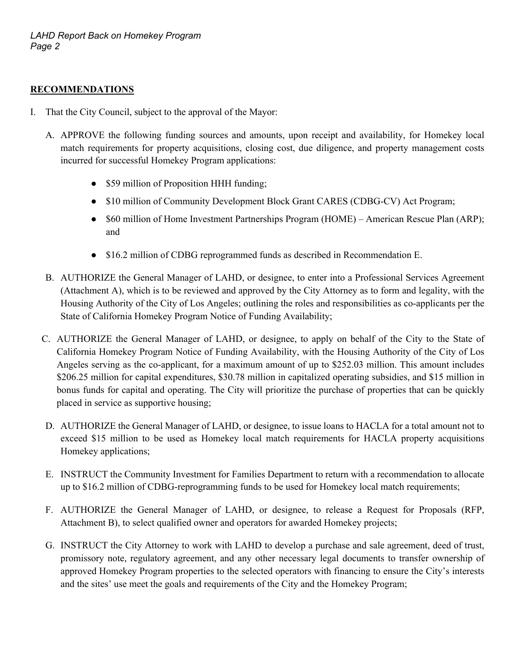#### **RECOMMENDATIONS**

- I. That the City Council, subject to the approval of the Mayor:
	- A. APPROVE the following funding sources and amounts, upon receipt and availability, for Homekey local match requirements for property acquisitions, closing cost, due diligence, and property management costs incurred for successful Homekey Program applications:
		- \$59 million of Proposition HHH funding;
		- \$10 million of Community Development Block Grant CARES (CDBG-CV) Act Program;
		- \$60 million of Home Investment Partnerships Program (HOME) American Rescue Plan (ARP); and
		- \$16.2 million of CDBG reprogrammed funds as described in Recommendation E.
	- B. AUTHORIZE the General Manager of LAHD, or designee, to enter into a Professional Services Agreement (Attachment A), which is to be reviewed and approved by the City Attorney as to form and legality, with the Housing Authority of the City of Los Angeles; outlining the roles and responsibilities as co-applicants per the State of California Homekey Program Notice of Funding Availability;
	- C. AUTHORIZE the General Manager of LAHD, or designee, to apply on behalf of the City to the State of California Homekey Program Notice of Funding Availability, with the Housing Authority of the City of Los Angeles serving as the co-applicant, for a maximum amount of up to \$252.03 million. This amount includes \$206.25 million for capital expenditures, \$30.78 million in capitalized operating subsidies, and \$15 million in bonus funds for capital and operating. The City will prioritize the purchase of properties that can be quickly placed in service as supportive housing;
	- D. AUTHORIZE the General Manager of LAHD, or designee, to issue loans to HACLA for a total amount not to exceed \$15 million to be used as Homekey local match requirements for HACLA property acquisitions Homekey applications;
	- E. INSTRUCT the Community Investment for Families Department to return with a recommendation to allocate up to \$16.2 million of CDBG-reprogramming funds to be used for Homekey local match requirements;
	- F. AUTHORIZE the General Manager of LAHD, or designee, to release a Request for Proposals (RFP, Attachment B), to select qualified owner and operators for awarded Homekey projects;
	- G. INSTRUCT the City Attorney to work with LAHD to develop a purchase and sale agreement, deed of trust, promissory note, regulatory agreement, and any other necessary legal documents to transfer ownership of approved Homekey Program properties to the selected operators with financing to ensure the City's interests and the sites' use meet the goals and requirements of the City and the Homekey Program;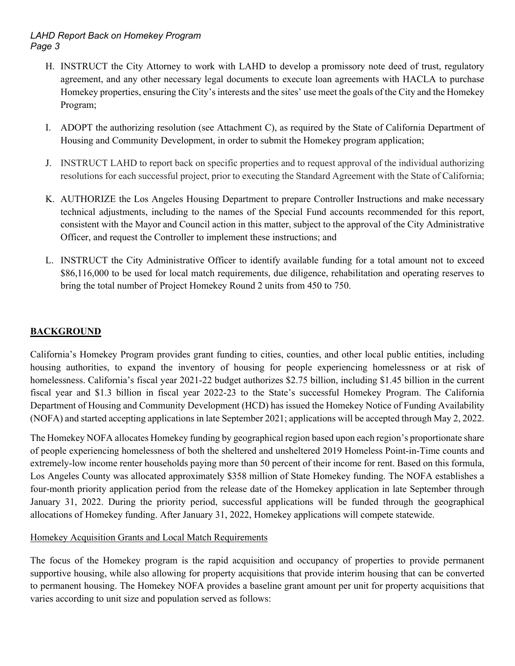- H. INSTRUCT the City Attorney to work with LAHD to develop a promissory note deed of trust, regulatory agreement, and any other necessary legal documents to execute loan agreements with HACLA to purchase Homekey properties, ensuring the City's interests and the sites' use meet the goals of the City and the Homekey Program;
- I. ADOPT the authorizing resolution (see Attachment C), as required by the State of California Department of Housing and Community Development, in order to submit the Homekey program application;
- J. INSTRUCT LAHD to report back on specific properties and to request approval of the individual authorizing resolutions for each successful project, prior to executing the Standard Agreement with the State of California;
- K. AUTHORIZE the Los Angeles Housing Department to prepare Controller Instructions and make necessary technical adjustments, including to the names of the Special Fund accounts recommended for this report, consistent with the Mayor and Council action in this matter, subject to the approval of the City Administrative Officer, and request the Controller to implement these instructions; and
- L. INSTRUCT the City Administrative Officer to identify available funding for a total amount not to exceed \$86,116,000 to be used for local match requirements, due diligence, rehabilitation and operating reserves to bring the total number of Project Homekey Round 2 units from 450 to 750.

# **BACKGROUND**

California's Homekey Program provides grant funding to cities, counties, and other local public entities, including housing authorities, to expand the inventory of housing for people experiencing homelessness or at risk of homelessness. California's fiscal year 2021-22 budget authorizes \$2.75 billion, including \$1.45 billion in the current fiscal year and \$1.3 billion in fiscal year 2022-23 to the State's successful Homekey Program. The California Department of Housing and Community Development (HCD) has issued the Homekey Notice of Funding Availability (NOFA) and started accepting applications in late September 2021; applications will be accepted through May 2, 2022.

The Homekey NOFA allocates Homekey funding by geographical region based upon each region's proportionate share of people experiencing homelessness of both the sheltered and unsheltered 2019 Homeless Point-in-Time counts and extremely-low income renter households paying more than 50 percent of their income for rent. Based on this formula, Los Angeles County was allocated approximately \$358 million of State Homekey funding. The NOFA establishes a four-month priority application period from the release date of the Homekey application in late September through January 31, 2022. During the priority period, successful applications will be funded through the geographical allocations of Homekey funding. After January 31, 2022, Homekey applications will compete statewide.

#### Homekey Acquisition Grants and Local Match Requirements

The focus of the Homekey program is the rapid acquisition and occupancy of properties to provide permanent supportive housing, while also allowing for property acquisitions that provide interim housing that can be converted to permanent housing. The Homekey NOFA provides a baseline grant amount per unit for property acquisitions that varies according to unit size and population served as follows: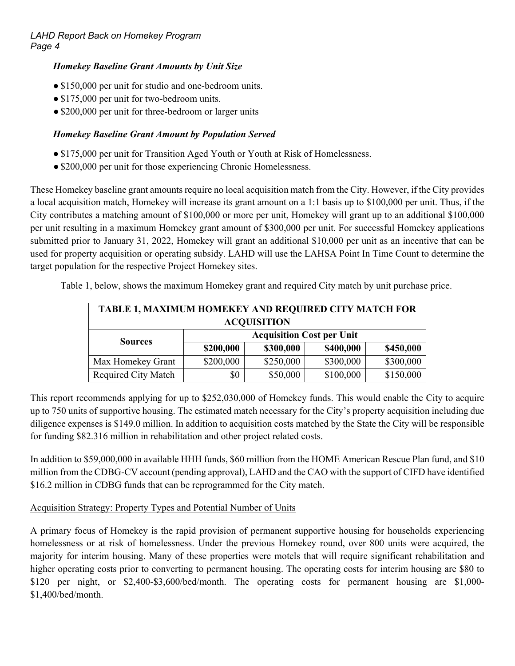#### *Homekey Baseline Grant Amounts by Unit Size*

- \$150,000 per unit for studio and one-bedroom units.
- \$175,000 per unit for two-bedroom units.
- \$200,000 per unit for three-bedroom or larger units

#### *Homekey Baseline Grant Amount by Population Served*

- \$175,000 per unit for Transition Aged Youth or Youth at Risk of Homelessness.
- \$200,000 per unit for those experiencing Chronic Homelessness.

These Homekey baseline grant amounts require no local acquisition match from the City. However, if the City provides a local acquisition match, Homekey will increase its grant amount on a 1:1 basis up to \$100,000 per unit. Thus, if the City contributes a matching amount of \$100,000 or more per unit, Homekey will grant up to an additional \$100,000 per unit resulting in a maximum Homekey grant amount of \$300,000 per unit. For successful Homekey applications submitted prior to January 31, 2022, Homekey will grant an additional \$10,000 per unit as an incentive that can be used for property acquisition or operating subsidy. LAHD will use the LAHSA Point In Time Count to determine the target population for the respective Project Homekey sites.

Table 1, below, shows the maximum Homekey grant and required City match by unit purchase price.

| <b>TABLE 1, MAXIMUM HOMEKEY AND REQUIRED CITY MATCH FOR</b> |                                  |           |           |           |
|-------------------------------------------------------------|----------------------------------|-----------|-----------|-----------|
| <b>ACQUISITION</b>                                          |                                  |           |           |           |
| <b>Sources</b>                                              | <b>Acquisition Cost per Unit</b> |           |           |           |
|                                                             | \$200,000                        | \$300,000 | \$400,000 | \$450,000 |
| Max Homekey Grant                                           | \$200,000                        | \$250,000 | \$300,000 | \$300,000 |
| <b>Required City Match</b>                                  | \$0                              | \$50,000  | \$100,000 | \$150,000 |

This report recommends applying for up to \$252,030,000 of Homekey funds. This would enable the City to acquire up to 750 units of supportive housing. The estimated match necessary for the City's property acquisition including due diligence expenses is \$149.0 million. In addition to acquisition costs matched by the State the City will be responsible for funding \$82.316 million in rehabilitation and other project related costs.

In addition to \$59,000,000 in available HHH funds, \$60 million from the HOME American Rescue Plan fund, and \$10 million from the CDBG-CV account (pending approval), LAHD and the CAO with the support of CIFD have identified \$16.2 million in CDBG funds that can be reprogrammed for the City match.

#### Acquisition Strategy: Property Types and Potential Number of Units

A primary focus of Homekey is the rapid provision of permanent supportive housing for households experiencing homelessness or at risk of homelessness. Under the previous Homekey round, over 800 units were acquired, the majority for interim housing. Many of these properties were motels that will require significant rehabilitation and higher operating costs prior to converting to permanent housing. The operating costs for interim housing are \$80 to \$120 per night, or \$2,400-\$3,600/bed/month. The operating costs for permanent housing are \$1,000- \$1,400/bed/month.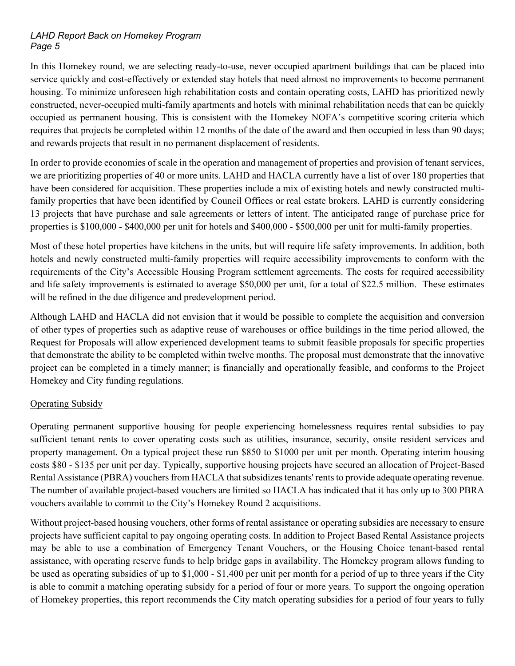In this Homekey round, we are selecting ready-to-use, never occupied apartment buildings that can be placed into service quickly and cost-effectively or extended stay hotels that need almost no improvements to become permanent housing. To minimize unforeseen high rehabilitation costs and contain operating costs, LAHD has prioritized newly constructed, never-occupied multi-family apartments and hotels with minimal rehabilitation needs that can be quickly occupied as permanent housing. This is consistent with the Homekey NOFA's competitive scoring criteria which requires that projects be completed within 12 months of the date of the award and then occupied in less than 90 days; and rewards projects that result in no permanent displacement of residents.

In order to provide economies of scale in the operation and management of properties and provision of tenant services, we are prioritizing properties of 40 or more units. LAHD and HACLA currently have a list of over 180 properties that have been considered for acquisition. These properties include a mix of existing hotels and newly constructed multifamily properties that have been identified by Council Offices or real estate brokers. LAHD is currently considering 13 projects that have purchase and sale agreements or letters of intent. The anticipated range of purchase price for properties is \$100,000 - \$400,000 per unit for hotels and \$400,000 - \$500,000 per unit for multi-family properties.

Most of these hotel properties have kitchens in the units, but will require life safety improvements. In addition, both hotels and newly constructed multi-family properties will require accessibility improvements to conform with the requirements of the City's Accessible Housing Program settlement agreements. The costs for required accessibility and life safety improvements is estimated to average \$50,000 per unit, for a total of \$22.5 million. These estimates will be refined in the due diligence and predevelopment period.

Although LAHD and HACLA did not envision that it would be possible to complete the acquisition and conversion of other types of properties such as adaptive reuse of warehouses or office buildings in the time period allowed, the Request for Proposals will allow experienced development teams to submit feasible proposals for specific properties that demonstrate the ability to be completed within twelve months. The proposal must demonstrate that the innovative project can be completed in a timely manner; is financially and operationally feasible, and conforms to the Project Homekey and City funding regulations.

#### Operating Subsidy

Operating permanent supportive housing for people experiencing homelessness requires rental subsidies to pay sufficient tenant rents to cover operating costs such as utilities, insurance, security, onsite resident services and property management. On a typical project these run \$850 to \$1000 per unit per month. Operating interim housing costs \$80 - \$135 per unit per day. Typically, supportive housing projects have secured an allocation of Project-Based Rental Assistance (PBRA) vouchers from HACLA that subsidizes tenants' rents to provide adequate operating revenue. The number of available project-based vouchers are limited so HACLA has indicated that it has only up to 300 PBRA vouchers available to commit to the City's Homekey Round 2 acquisitions.

Without project-based housing vouchers, other forms of rental assistance or operating subsidies are necessary to ensure projects have sufficient capital to pay ongoing operating costs. In addition to Project Based Rental Assistance projects may be able to use a combination of Emergency Tenant Vouchers, or the Housing Choice tenant-based rental assistance, with operating reserve funds to help bridge gaps in availability. The Homekey program allows funding to be used as operating subsidies of up to \$1,000 - \$1,400 per unit per month for a period of up to three years if the City is able to commit a matching operating subsidy for a period of four or more years. To support the ongoing operation of Homekey properties, this report recommends the City match operating subsidies for a period of four years to fully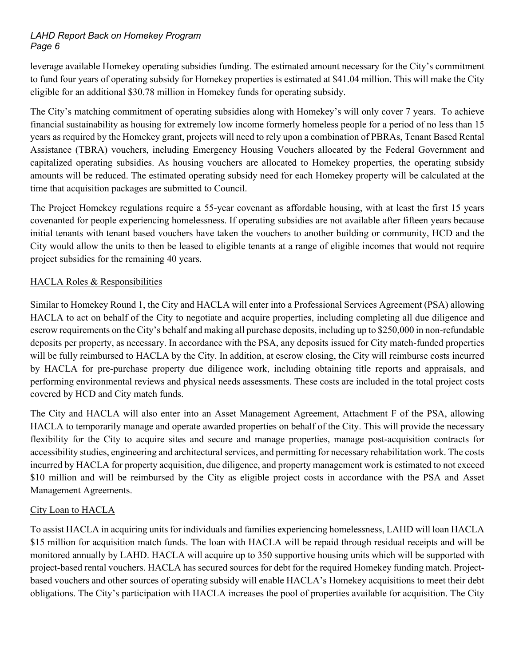leverage available Homekey operating subsidies funding. The estimated amount necessary for the City's commitment to fund four years of operating subsidy for Homekey properties is estimated at \$41.04 million. This will make the City eligible for an additional \$30.78 million in Homekey funds for operating subsidy.

The City's matching commitment of operating subsidies along with Homekey's will only cover 7 years. To achieve financial sustainability as housing for extremely low income formerly homeless people for a period of no less than 15 years as required by the Homekey grant, projects will need to rely upon a combination of PBRAs, Tenant Based Rental Assistance (TBRA) vouchers, including Emergency Housing Vouchers allocated by the Federal Government and capitalized operating subsidies. As housing vouchers are allocated to Homekey properties, the operating subsidy amounts will be reduced. The estimated operating subsidy need for each Homekey property will be calculated at the time that acquisition packages are submitted to Council.

The Project Homekey regulations require a 55-year covenant as affordable housing, with at least the first 15 years covenanted for people experiencing homelessness. If operating subsidies are not available after fifteen years because initial tenants with tenant based vouchers have taken the vouchers to another building or community, HCD and the City would allow the units to then be leased to eligible tenants at a range of eligible incomes that would not require project subsidies for the remaining 40 years.

#### HACLA Roles & Responsibilities

Similar to Homekey Round 1, the City and HACLA will enter into a Professional Services Agreement (PSA) allowing HACLA to act on behalf of the City to negotiate and acquire properties, including completing all due diligence and escrow requirements on the City's behalf and making all purchase deposits, including up to \$250,000 in non-refundable deposits per property, as necessary. In accordance with the PSA, any deposits issued for City match-funded properties will be fully reimbursed to HACLA by the City. In addition, at escrow closing, the City will reimburse costs incurred by HACLA for pre-purchase property due diligence work, including obtaining title reports and appraisals, and performing environmental reviews and physical needs assessments. These costs are included in the total project costs covered by HCD and City match funds.

The City and HACLA will also enter into an Asset Management Agreement, Attachment F of the PSA, allowing HACLA to temporarily manage and operate awarded properties on behalf of the City. This will provide the necessary flexibility for the City to acquire sites and secure and manage properties, manage post-acquisition contracts for accessibility studies, engineering and architectural services, and permitting for necessary rehabilitation work. The costs incurred by HACLA for property acquisition, due diligence, and property management work is estimated to not exceed \$10 million and will be reimbursed by the City as eligible project costs in accordance with the PSA and Asset Management Agreements.

#### City Loan to HACLA

To assist HACLA in acquiring units for individuals and families experiencing homelessness, LAHD will loan HACLA \$15 million for acquisition match funds. The loan with HACLA will be repaid through residual receipts and will be monitored annually by LAHD. HACLA will acquire up to 350 supportive housing units which will be supported with project-based rental vouchers. HACLA has secured sources for debt for the required Homekey funding match. Projectbased vouchers and other sources of operating subsidy will enable HACLA's Homekey acquisitions to meet their debt obligations. The City's participation with HACLA increases the pool of properties available for acquisition. The City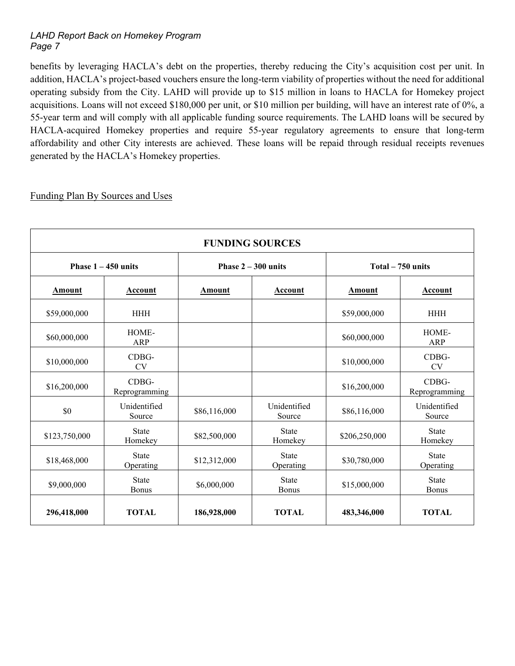benefits by leveraging HACLA's debt on the properties, thereby reducing the City's acquisition cost per unit. In addition, HACLA's project-based vouchers ensure the long-term viability of properties without the need for additional operating subsidy from the City. LAHD will provide up to \$15 million in loans to HACLA for Homekey project acquisitions. Loans will not exceed \$180,000 per unit, or \$10 million per building, will have an interest rate of 0%, a 55-year term and will comply with all applicable funding source requirements. The LAHD loans will be secured by HACLA-acquired Homekey properties and require 55-year regulatory agreements to ensure that long-term affordability and other City interests are achieved. These loans will be repaid through residual receipts revenues generated by the HACLA's Homekey properties.

Funding Plan By Sources and Uses

| <b>FUNDING SOURCES</b> |                           |                       |                              |                    |                              |
|------------------------|---------------------------|-----------------------|------------------------------|--------------------|------------------------------|
| Phase $1 - 450$ units  |                           | Phase $2 - 300$ units |                              | Total $-750$ units |                              |
| <b>Amount</b>          | <b>Account</b>            | <b>Amount</b>         | Account                      | <b>Amount</b>      | Account                      |
| \$59,000,000           | <b>HHH</b>                |                       |                              | \$59,000,000       | <b>HHH</b>                   |
| \$60,000,000           | HOME-<br>ARP              |                       |                              | \$60,000,000       | HOME-<br><b>ARP</b>          |
| \$10,000,000           | CDBG-<br><b>CV</b>        |                       |                              | \$10,000,000       | CDBG-<br><b>CV</b>           |
| \$16,200,000           | CDBG-<br>Reprogramming    |                       |                              | \$16,200,000       | CDBG-<br>Reprogramming       |
| \$0                    | Unidentified<br>Source    | \$86,116,000          | Unidentified<br>Source       | \$86,116,000       | Unidentified<br>Source       |
| \$123,750,000          | <b>State</b><br>Homekey   | \$82,500,000          | <b>State</b><br>Homekey      | \$206,250,000      | <b>State</b><br>Homekey      |
| \$18,468,000           | <b>State</b><br>Operating | \$12,312,000          | <b>State</b><br>Operating    | \$30,780,000       | <b>State</b><br>Operating    |
| \$9,000,000            | <b>State</b><br>Bonus     | \$6,000,000           | <b>State</b><br><b>Bonus</b> | \$15,000,000       | <b>State</b><br><b>Bonus</b> |
| 296,418,000            | <b>TOTAL</b>              | 186,928,000           | <b>TOTAL</b>                 | 483,346,000        | <b>TOTAL</b>                 |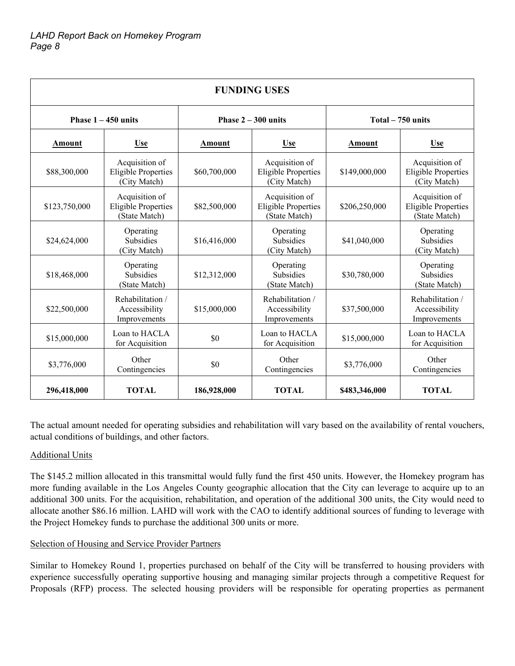| <b>FUNDING USES</b>   |                                                               |                       |                                                               |                   |                                                               |
|-----------------------|---------------------------------------------------------------|-----------------------|---------------------------------------------------------------|-------------------|---------------------------------------------------------------|
| Phase $1 - 450$ units |                                                               | Phase $2 - 300$ units |                                                               | Total – 750 units |                                                               |
| Amount                | <b>Use</b>                                                    | Amount                | <b>Use</b>                                                    | Amount            | <b>Use</b>                                                    |
| \$88,300,000          | Acquisition of<br><b>Eligible Properties</b><br>(City Match)  | \$60,700,000          | Acquisition of<br><b>Eligible Properties</b><br>(City Match)  | \$149,000,000     | Acquisition of<br><b>Eligible Properties</b><br>(City Match)  |
| \$123,750,000         | Acquisition of<br><b>Eligible Properties</b><br>(State Match) | \$82,500,000          | Acquisition of<br><b>Eligible Properties</b><br>(State Match) | \$206,250,000     | Acquisition of<br><b>Eligible Properties</b><br>(State Match) |
| \$24,624,000          | Operating<br><b>Subsidies</b><br>(City Match)                 | \$16,416,000          | Operating<br><b>Subsidies</b><br>(City Match)                 | \$41,040,000      | Operating<br><b>Subsidies</b><br>(City Match)                 |
| \$18,468,000          | Operating<br><b>Subsidies</b><br>(State Match)                | \$12,312,000          | Operating<br><b>Subsidies</b><br>(State Match)                | \$30,780,000      | Operating<br><b>Subsidies</b><br>(State Match)                |
| \$22,500,000          | Rehabilitation /<br>Accessibility<br>Improvements             | \$15,000,000          | Rehabilitation /<br>Accessibility<br>Improvements             | \$37,500,000      | Rehabilitation /<br>Accessibility<br>Improvements             |
| \$15,000,000          | Loan to HACLA<br>for Acquisition                              | \$0                   | Loan to HACLA<br>for Acquisition                              | \$15,000,000      | Loan to HACLA<br>for Acquisition                              |
| \$3,776,000           | Other<br>Contingencies                                        | \$0                   | Other<br>Contingencies                                        | \$3,776,000       | Other<br>Contingencies                                        |
| 296,418,000           | <b>TOTAL</b>                                                  | 186,928,000           | <b>TOTAL</b>                                                  | \$483,346,000     | <b>TOTAL</b>                                                  |

The actual amount needed for operating subsidies and rehabilitation will vary based on the availability of rental vouchers, actual conditions of buildings, and other factors.

#### Additional Units

The \$145.2 million allocated in this transmittal would fully fund the first 450 units. However, the Homekey program has more funding available in the Los Angeles County geographic allocation that the City can leverage to acquire up to an additional 300 units. For the acquisition, rehabilitation, and operation of the additional 300 units, the City would need to allocate another \$86.16 million. LAHD will work with the CAO to identify additional sources of funding to leverage with the Project Homekey funds to purchase the additional 300 units or more.

#### Selection of Housing and Service Provider Partners

Similar to Homekey Round 1, properties purchased on behalf of the City will be transferred to housing providers with experience successfully operating supportive housing and managing similar projects through a competitive Request for Proposals (RFP) process. The selected housing providers will be responsible for operating properties as permanent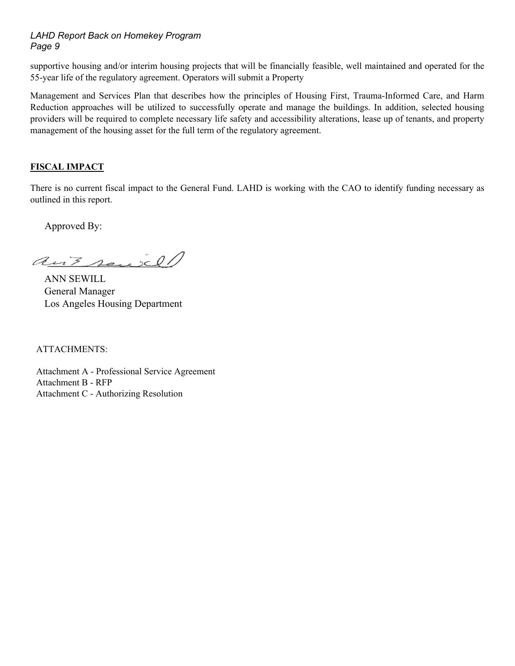supportive housing and/or interim housing projects that will be financially feasible, well maintained and operated for the 55-year life of the regulatory agreement. Operators will submit a Property

Management and Services Plan that describes how the principles of Housing First, Trauma-Informed Care, and Harm Reduction approaches will be utilized to successfully operate and manage the buildings. In addition, selected housing providers will be required to complete necessary life safety and accessibility alterations, lease up of tenants, and property management of the housing asset for the full term of the regulatory agreement.

#### **FISCAL IMPACT**

There is no current fiscal impact to the General Fund. LAHD is working with the CAO to identify funding necessary as outlined in this report.

Approved By:

ant sensel

 ANN SEWILL General Manager Los Angeles Housing Department

ATTACHMENTS:

Attachment A - Professional Service Agreement Attachment B - RFP Attachment C - Authorizing Resolution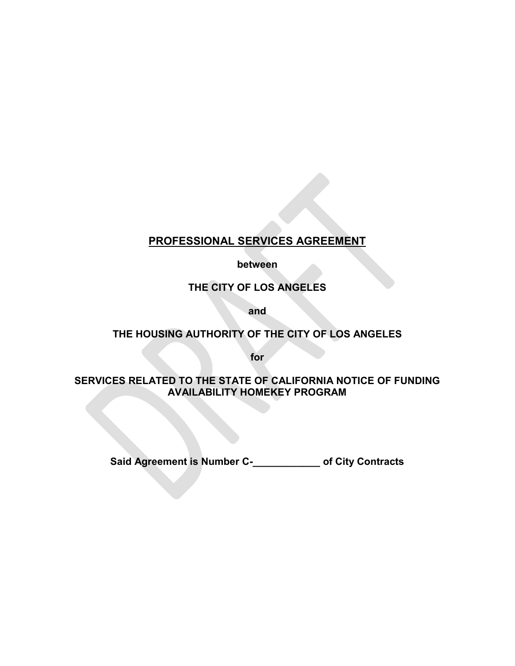# **PROFESSIONAL SERVICES AGREEMENT**

**between**

**THE CITY OF LOS ANGELES**

**and**

# **THE HOUSING AUTHORITY OF THE CITY OF LOS ANGELES**

**for**

#### **SERVICES RELATED TO THE STATE OF CALIFORNIA NOTICE OF FUNDING AVAILABILITY HOMEKEY PROGRAM**

**Said Agreement is Number C-\_\_\_\_\_\_\_\_\_\_\_\_ of City Contracts**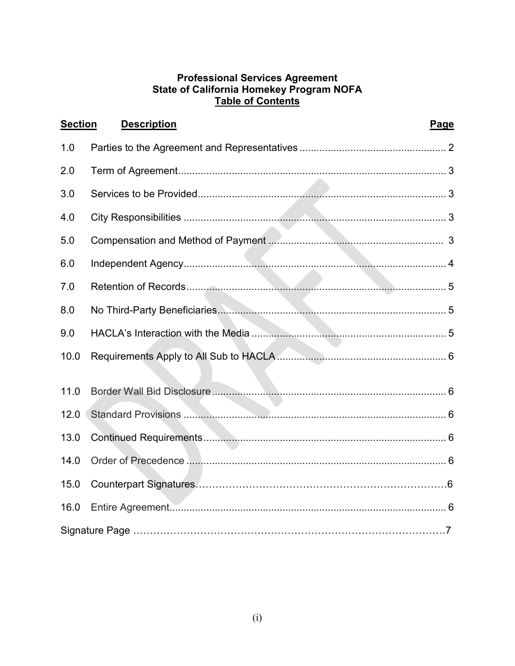# Professional Services Agreement<br>State of California Homekey Program NOFA<br>Table of Contents

| <b>Section</b> | <b>Description</b> | Page |
|----------------|--------------------|------|
| 1.0            |                    |      |
| 2.0            |                    |      |
| 3.0            |                    |      |
| 4.0            |                    |      |
| 5.0            |                    |      |
| 6.0            |                    |      |
| 7.0            |                    |      |
| 8.0            |                    |      |
| 9.0            |                    |      |
| 10.0           |                    |      |
| 11.0           |                    |      |
| 12.0           |                    |      |
| 13.0           |                    |      |
| 14.0           |                    |      |
| 15.0           |                    |      |
| 16.0           |                    |      |
|                |                    |      |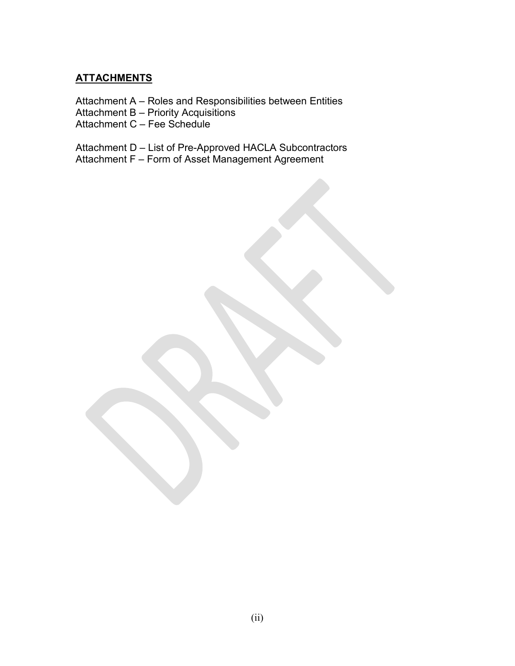# **ATTACHMENTS**

Attachment A – Roles and Responsibilities between Entities

Attachment B – Priority Acquisitions

Attachment C – Fee Schedule

Attachment D – List of Pre-Approved HACLA Subcontractors

Attachment F – Form of Asset Management Agreement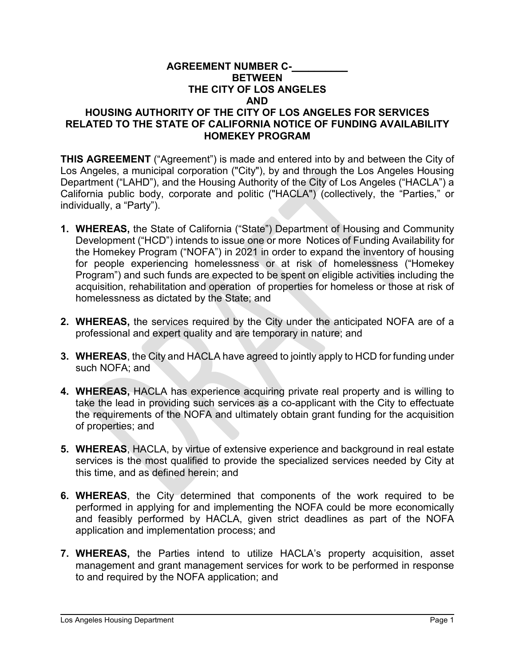#### **AGREEMENT NUMBER C-\_\_\_\_\_\_\_\_\_\_ BETWEEN THE CITY OF LOS ANGELES AND HOUSING AUTHORITY OF THE CITY OF LOS ANGELES FOR SERVICES RELATED TO THE STATE OF CALIFORNIA NOTICE OF FUNDING AVAILABILITY HOMEKEY PROGRAM**

**THIS AGREEMENT** ("Agreement") is made and entered into by and between the City of Los Angeles, a municipal corporation ("City"), by and through the Los Angeles Housing Department ("LAHD"), and the Housing Authority of the City of Los Angeles ("HACLA") a California public body, corporate and politic ("HACLA") (collectively, the "Parties," or individually, a "Party").

- **1. WHEREAS,** the State of California ("State") Department of Housing and Community Development ("HCD") intends to issue one or more Notices of Funding Availability for the Homekey Program ("NOFA") in 2021 in order to expand the inventory of housing for people experiencing homelessness or at risk of homelessness ("Homekey Program") and such funds are expected to be spent on eligible activities including the acquisition, rehabilitation and operation of properties for homeless or those at risk of homelessness as dictated by the State; and
- **2. WHEREAS,** the services required by the City under the anticipated NOFA are of a professional and expert quality and are temporary in nature; and
- **3. WHEREAS**, the City and HACLA have agreed to jointly apply to HCD for funding under such NOFA; and
- **4. WHEREAS,** HACLA has experience acquiring private real property and is willing to take the lead in providing such services as a co-applicant with the City to effectuate the requirements of the NOFA and ultimately obtain grant funding for the acquisition of properties; and
- **5. WHEREAS**, HACLA, by virtue of extensive experience and background in real estate services is the most qualified to provide the specialized services needed by City at this time, and as defined herein; and
- **6. WHEREAS**, the City determined that components of the work required to be performed in applying for and implementing the NOFA could be more economically and feasibly performed by HACLA, given strict deadlines as part of the NOFA application and implementation process; and
- **7. WHEREAS,** the Parties intend to utilize HACLA's property acquisition, asset management and grant management services for work to be performed in response to and required by the NOFA application; and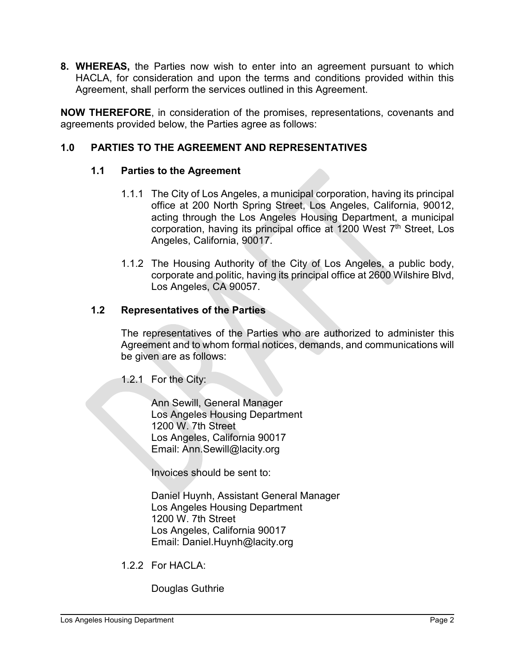**8. WHEREAS,** the Parties now wish to enter into an agreement pursuant to which HACLA, for consideration and upon the terms and conditions provided within this Agreement, shall perform the services outlined in this Agreement.

**NOW THEREFORE**, in consideration of the promises, representations, covenants and agreements provided below, the Parties agree as follows:

# **1.0 PARTIES TO THE AGREEMENT AND REPRESENTATIVES**

# **1.1 Parties to the Agreement**

- 1.1.1 The City of Los Angeles, a municipal corporation, having its principal office at 200 North Spring Street, Los Angeles, California, 90012, acting through the Los Angeles Housing Department, a municipal corporation, having its principal office at 1200 West 7<sup>th</sup> Street. Los Angeles, California, 90017.
- 1.1.2 The Housing Authority of the City of Los Angeles, a public body, corporate and politic, having its principal office at 2600 Wilshire Blvd, Los Angeles, CA 90057.

#### **1.2 Representatives of the Parties**

The representatives of the Parties who are authorized to administer this Agreement and to whom formal notices, demands, and communications will be given are as follows:

1.2.1 For the City:

Ann Sewill, General Manager Los Angeles Housing Department 1200 W. 7th Street Los Angeles, California 90017 Email: Ann.Sewill@lacity.org

Invoices should be sent to:

Daniel Huynh, Assistant General Manager Los Angeles Housing Department 1200 W. 7th Street Los Angeles, California 90017 Email: Daniel.Huynh@lacity.org

1.2.2 For HACLA:

Douglas Guthrie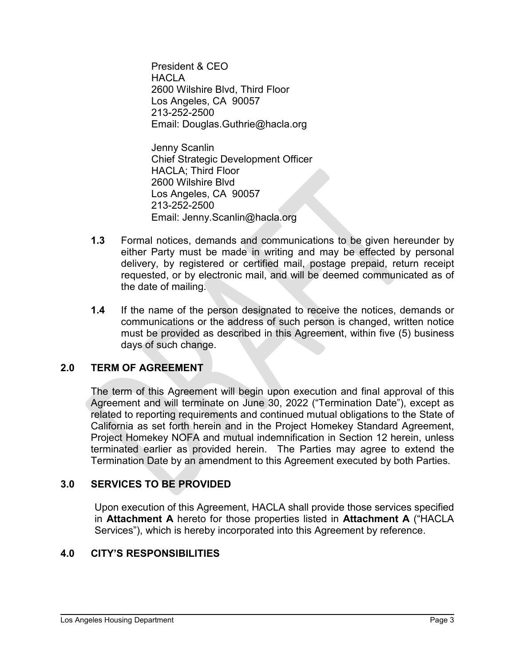President & CEO **HACLA** 2600 Wilshire Blvd, Third Floor Los Angeles, CA 90057 213-252-2500 Email: Douglas.Guthrie@hacla.org

Jenny Scanlin Chief Strategic Development Officer HACLA; Third Floor 2600 Wilshire Blvd Los Angeles, CA 90057 213-252-2500 Email: Jenny.Scanlin@hacla.org

- **1.3** Formal notices, demands and communications to be given hereunder by either Party must be made in writing and may be effected by personal delivery, by registered or certified mail, postage prepaid, return receipt requested, or by electronic mail, and will be deemed communicated as of the date of mailing.
- **1.4** If the name of the person designated to receive the notices, demands or communications or the address of such person is changed, written notice must be provided as described in this Agreement, within five (5) business days of such change.

# **2.0 TERM OF AGREEMENT**

The term of this Agreement will begin upon execution and final approval of this Agreement and will terminate on June 30, 2022 ("Termination Date"), except as related to reporting requirements and continued mutual obligations to the State of California as set forth herein and in the Project Homekey Standard Agreement, Project Homekey NOFA and mutual indemnification in Section 12 herein, unless terminated earlier as provided herein. The Parties may agree to extend the Termination Date by an amendment to this Agreement executed by both Parties.

# **3.0 SERVICES TO BE PROVIDED**

Upon execution of this Agreement, HACLA shall provide those services specified in **Attachment A** hereto for those properties listed in **Attachment A** ("HACLA Services"), which is hereby incorporated into this Agreement by reference.

# **4.0 CITY'S RESPONSIBILITIES**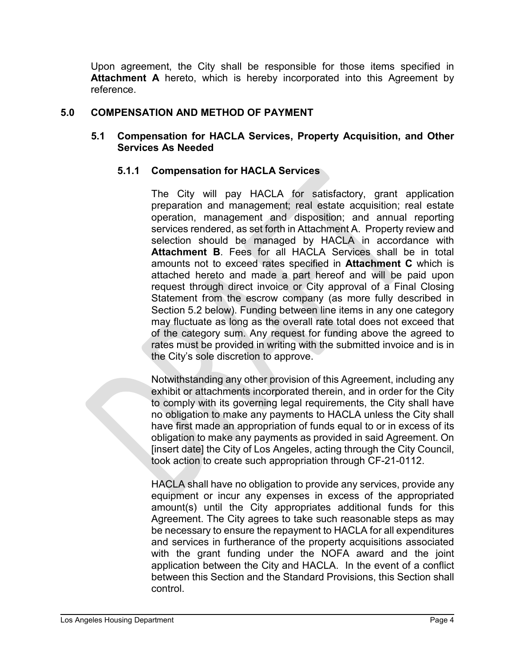Upon agreement, the City shall be responsible for those items specified in **Attachment A** hereto, which is hereby incorporated into this Agreement by reference.

# **5.0 COMPENSATION AND METHOD OF PAYMENT**

# **5.1 Compensation for HACLA Services, Property Acquisition, and Other Services As Needed**

# **5.1.1 Compensation for HACLA Services**

The City will pay HACLA for satisfactory, grant application preparation and management; real estate acquisition; real estate operation, management and disposition; and annual reporting services rendered, as set forth in Attachment A. Property review and selection should be managed by HACLA in accordance with **Attachment B**. Fees for all HACLA Services shall be in total amounts not to exceed rates specified in **Attachment C** which is attached hereto and made a part hereof and will be paid upon request through direct invoice or City approval of a Final Closing Statement from the escrow company (as more fully described in Section 5.2 below). Funding between line items in any one category may fluctuate as long as the overall rate total does not exceed that of the category sum. Any request for funding above the agreed to rates must be provided in writing with the submitted invoice and is in the City's sole discretion to approve.

Notwithstanding any other provision of this Agreement, including any exhibit or attachments incorporated therein, and in order for the City to comply with its governing legal requirements, the City shall have no obligation to make any payments to HACLA unless the City shall have first made an appropriation of funds equal to or in excess of its obligation to make any payments as provided in said Agreement. On [insert date] the City of Los Angeles, acting through the City Council, took action to create such appropriation through CF-21-0112.

HACLA shall have no obligation to provide any services, provide any equipment or incur any expenses in excess of the appropriated amount(s) until the City appropriates additional funds for this Agreement. The City agrees to take such reasonable steps as may be necessary to ensure the repayment to HACLA for all expenditures and services in furtherance of the property acquisitions associated with the grant funding under the NOFA award and the joint application between the City and HACLA. In the event of a conflict between this Section and the Standard Provisions, this Section shall control.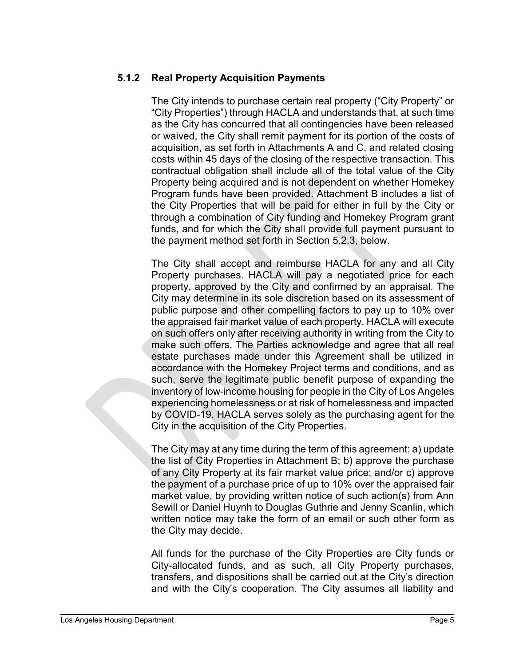# **5.1.2 Real Property Acquisition Payments**

The City intends to purchase certain real property ("City Property" or "City Properties") through HACLA and understands that, at such time as the City has concurred that all contingencies have been released or waived, the City shall remit payment for its portion of the costs of acquisition, as set forth in Attachments A and C, and related closing costs within 45 days of the closing of the respective transaction. This contractual obligation shall include all of the total value of the City Property being acquired and is not dependent on whether Homekey Program funds have been provided. Attachment B includes a list of the City Properties that will be paid for either in full by the City or through a combination of City funding and Homekey Program grant funds, and for which the City shall provide full payment pursuant to the payment method set forth in Section 5.2.3, below.

The City shall accept and reimburse HACLA for any and all City Property purchases. HACLA will pay a negotiated price for each property, approved by the City and confirmed by an appraisal. The City may determine in its sole discretion based on its assessment of public purpose and other compelling factors to pay up to 10% over the appraised fair market value of each property. HACLA will execute on such offers only after receiving authority in writing from the City to make such offers. The Parties acknowledge and agree that all real estate purchases made under this Agreement shall be utilized in accordance with the Homekey Project terms and conditions, and as such, serve the legitimate public benefit purpose of expanding the inventory of low-income housing for people in the City of Los Angeles experiencing homelessness or at risk of homelessness and impacted by COVID-19. HACLA serves solely as the purchasing agent for the City in the acquisition of the City Properties.

The City may at any time during the term of this agreement: a) update the list of City Properties in Attachment B; b) approve the purchase of any City Property at its fair market value price; and/or c) approve the payment of a purchase price of up to 10% over the appraised fair market value, by providing written notice of such action(s) from Ann Sewill or Daniel Huynh to Douglas Guthrie and Jenny Scanlin, which written notice may take the form of an email or such other form as the City may decide.

All funds for the purchase of the City Properties are City funds or City-allocated funds, and as such, all City Property purchases, transfers, and dispositions shall be carried out at the City's direction and with the City's cooperation. The City assumes all liability and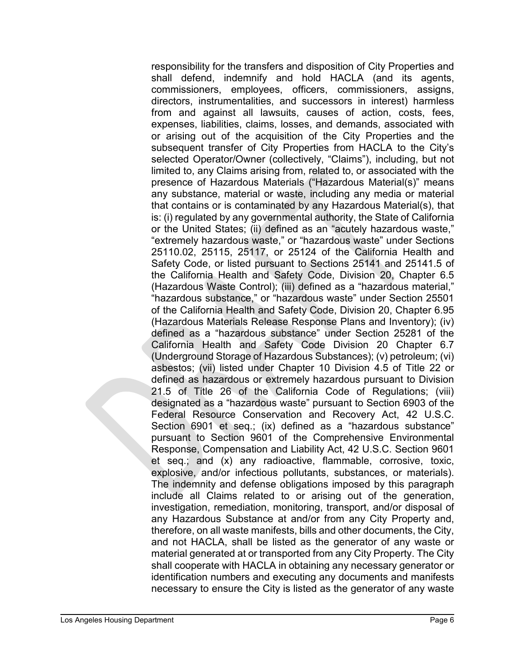responsibility for the transfers and disposition of City Properties and shall defend, indemnify and hold HACLA (and its agents, commissioners, employees, officers, commissioners, assigns, directors, instrumentalities, and successors in interest) harmless from and against all lawsuits, causes of action, costs, fees, expenses, liabilities, claims, losses, and demands, associated with or arising out of the acquisition of the City Properties and the subsequent transfer of City Properties from HACLA to the City's selected Operator/Owner (collectively, "Claims"), including, but not limited to, any Claims arising from, related to, or associated with the presence of Hazardous Materials ("Hazardous Material(s)" means any substance, material or waste, including any media or material that contains or is contaminated by any Hazardous Material(s), that is: (i) regulated by any governmental authority, the State of California or the United States; (ii) defined as an "acutely hazardous waste," "extremely hazardous waste," or "hazardous waste" under Sections 25110.02, 25115, 25117, or 25124 of the California Health and Safety Code, or listed pursuant to Sections 25141 and 25141.5 of the California Health and Safety Code, Division 20, Chapter 6.5 (Hazardous Waste Control); (iii) defined as a "hazardous material," "hazardous substance," or "hazardous waste" under Section 25501 of the California Health and Safety Code, Division 20, Chapter 6.95 (Hazardous Materials Release Response Plans and Inventory); (iv) defined as a "hazardous substance" under Section 25281 of the California Health and Safety Code Division 20 Chapter 6.7 (Underground Storage of Hazardous Substances); (v) petroleum; (vi) asbestos; (vii) listed under Chapter 10 Division 4.5 of Title 22 or defined as hazardous or extremely hazardous pursuant to Division 21.5 of Title 26 of the California Code of Regulations; (viii) designated as a "hazardous waste" pursuant to Section 6903 of the Federal Resource Conservation and Recovery Act, 42 U.S.C. Section 6901 et seq.; (ix) defined as a "hazardous substance" pursuant to Section 9601 of the Comprehensive Environmental Response, Compensation and Liability Act, 42 U.S.C. Section 9601 et seq.; and (x) any radioactive, flammable, corrosive, toxic, explosive, and/or infectious pollutants, substances, or materials). The indemnity and defense obligations imposed by this paragraph include all Claims related to or arising out of the generation, investigation, remediation, monitoring, transport, and/or disposal of any Hazardous Substance at and/or from any City Property and, therefore, on all waste manifests, bills and other documents, the City, and not HACLA, shall be listed as the generator of any waste or material generated at or transported from any City Property. The City shall cooperate with HACLA in obtaining any necessary generator or identification numbers and executing any documents and manifests necessary to ensure the City is listed as the generator of any waste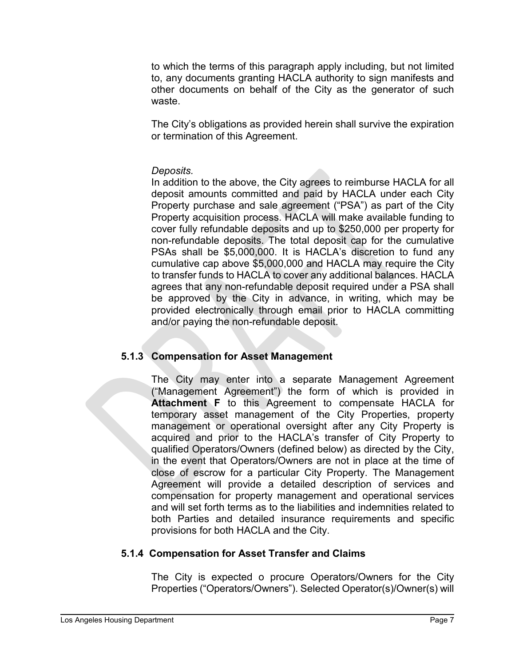to which the terms of this paragraph apply including, but not limited to, any documents granting HACLA authority to sign manifests and other documents on behalf of the City as the generator of such waste.

The City's obligations as provided herein shall survive the expiration or termination of this Agreement.

#### *Deposits.*

In addition to the above, the City agrees to reimburse HACLA for all deposit amounts committed and paid by HACLA under each City Property purchase and sale agreement ("PSA") as part of the City Property acquisition process. HACLA will make available funding to cover fully refundable deposits and up to \$250,000 per property for non-refundable deposits. The total deposit cap for the cumulative PSAs shall be \$5,000,000. It is HACLA's discretion to fund any cumulative cap above \$5,000,000 and HACLA may require the City to transfer funds to HACLA to cover any additional balances. HACLA agrees that any non-refundable deposit required under a PSA shall be approved by the City in advance, in writing, which may be provided electronically through email prior to HACLA committing and/or paying the non-refundable deposit.

# **5.1.3 Compensation for Asset Management**

The City may enter into a separate Management Agreement ("Management Agreement") the form of which is provided in **Attachment F** to this Agreement to compensate HACLA for temporary asset management of the City Properties, property management or operational oversight after any City Property is acquired and prior to the HACLA's transfer of City Property to qualified Operators/Owners (defined below) as directed by the City, in the event that Operators/Owners are not in place at the time of close of escrow for a particular City Property. The Management Agreement will provide a detailed description of services and compensation for property management and operational services and will set forth terms as to the liabilities and indemnities related to both Parties and detailed insurance requirements and specific provisions for both HACLA and the City.

# **5.1.4 Compensation for Asset Transfer and Claims**

The City is expected o procure Operators/Owners for the City Properties ("Operators/Owners"). Selected Operator(s)/Owner(s) will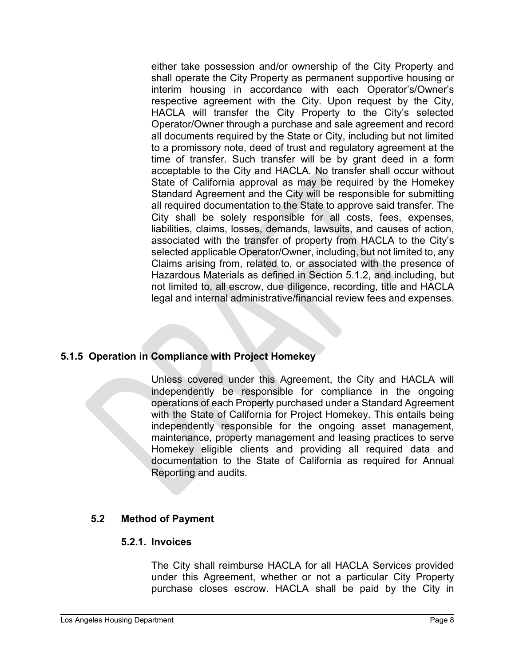either take possession and/or ownership of the City Property and shall operate the City Property as permanent supportive housing or interim housing in accordance with each Operator's/Owner's respective agreement with the City. Upon request by the City, HACLA will transfer the City Property to the City's selected Operator/Owner through a purchase and sale agreement and record all documents required by the State or City, including but not limited to a promissory note, deed of trust and regulatory agreement at the time of transfer. Such transfer will be by grant deed in a form acceptable to the City and HACLA. No transfer shall occur without State of California approval as may be required by the Homekey Standard Agreement and the City will be responsible for submitting all required documentation to the State to approve said transfer. The City shall be solely responsible for all costs, fees, expenses, liabilities, claims, losses, demands, lawsuits, and causes of action, associated with the transfer of property from HACLA to the City's selected applicable Operator/Owner, including, but not limited to, any Claims arising from, related to, or associated with the presence of Hazardous Materials as defined in Section 5.1.2, and including, but not limited to, all escrow, due diligence, recording, title and HACLA legal and internal administrative/financial review fees and expenses.

# **5.1.5 Operation in Compliance with Project Homekey**

Unless covered under this Agreement, the City and HACLA will independently be responsible for compliance in the ongoing operations of each Property purchased under a Standard Agreement with the State of California for Project Homekey. This entails being independently responsible for the ongoing asset management, maintenance, property management and leasing practices to serve Homekey eligible clients and providing all required data and documentation to the State of California as required for Annual Reporting and audits.

# **5.2 Method of Payment**

#### **5.2.1. Invoices**

The City shall reimburse HACLA for all HACLA Services provided under this Agreement, whether or not a particular City Property purchase closes escrow. HACLA shall be paid by the City in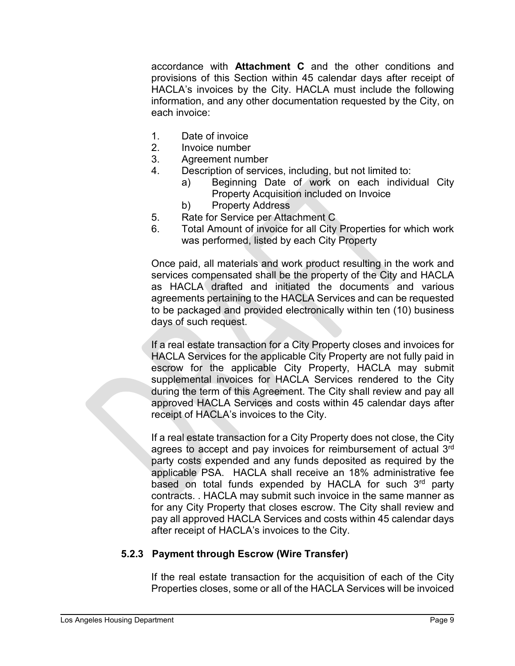accordance with **Attachment C** and the other conditions and provisions of this Section within 45 calendar days after receipt of HACLA's invoices by the City. HACLA must include the following information, and any other documentation requested by the City, on each invoice:

- 1. Date of invoice
- 2. Invoice number
- 3. Agreement number
- 4. Description of services, including, but not limited to:
	- a) Beginning Date of work on each individual City Property Acquisition included on Invoice
	- b) Property Address
- 5. Rate for Service per Attachment C
- 6. Total Amount of invoice for all City Properties for which work was performed, listed by each City Property

Once paid, all materials and work product resulting in the work and services compensated shall be the property of the City and HACLA as HACLA drafted and initiated the documents and various agreements pertaining to the HACLA Services and can be requested to be packaged and provided electronically within ten (10) business days of such request.

If a real estate transaction for a City Property closes and invoices for HACLA Services for the applicable City Property are not fully paid in escrow for the applicable City Property, HACLA may submit supplemental invoices for HACLA Services rendered to the City during the term of this Agreement. The City shall review and pay all approved HACLA Services and costs within 45 calendar days after receipt of HACLA's invoices to the City.

If a real estate transaction for a City Property does not close, the City agrees to accept and pay invoices for reimbursement of actual 3<sup>rd</sup> party costs expended and any funds deposited as required by the applicable PSA. HACLA shall receive an 18% administrative fee based on total funds expended by HACLA for such 3rd party contracts. . HACLA may submit such invoice in the same manner as for any City Property that closes escrow. The City shall review and pay all approved HACLA Services and costs within 45 calendar days after receipt of HACLA's invoices to the City.

# **5.2.3 Payment through Escrow (Wire Transfer)**

If the real estate transaction for the acquisition of each of the City Properties closes, some or all of the HACLA Services will be invoiced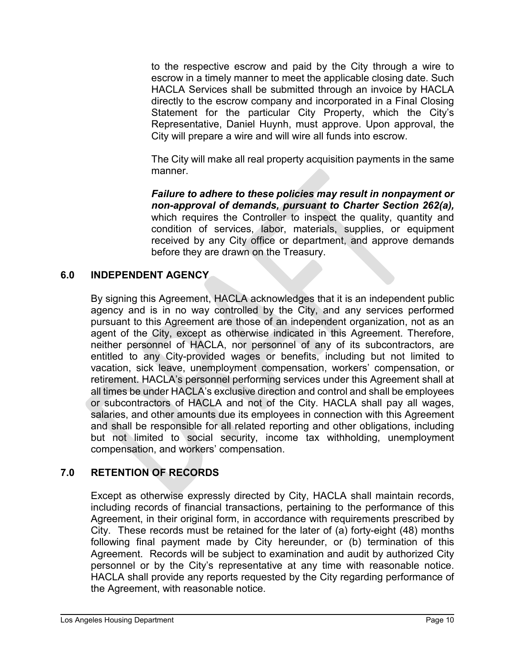to the respective escrow and paid by the City through a wire to escrow in a timely manner to meet the applicable closing date. Such HACLA Services shall be submitted through an invoice by HACLA directly to the escrow company and incorporated in a Final Closing Statement for the particular City Property, which the City's Representative, Daniel Huynh, must approve. Upon approval, the City will prepare a wire and will wire all funds into escrow.

The City will make all real property acquisition payments in the same manner.

*Failure to adhere to these policies may result in nonpayment or non-approval of demands, pursuant to Charter Section 262(a),*  which requires the Controller to inspect the quality, quantity and condition of services, labor, materials, supplies, or equipment received by any City office or department, and approve demands before they are drawn on the Treasury.

# **6.0 INDEPENDENT AGENCY**

By signing this Agreement, HACLA acknowledges that it is an independent public agency and is in no way controlled by the City, and any services performed pursuant to this Agreement are those of an independent organization, not as an agent of the City, except as otherwise indicated in this Agreement. Therefore, neither personnel of HACLA, nor personnel of any of its subcontractors, are entitled to any City-provided wages or benefits, including but not limited to vacation, sick leave, unemployment compensation, workers' compensation, or retirement. HACLA's personnel performing services under this Agreement shall at all times be under HACLA's exclusive direction and control and shall be employees or subcontractors of HACLA and not of the City. HACLA shall pay all wages, salaries, and other amounts due its employees in connection with this Agreement and shall be responsible for all related reporting and other obligations, including but not limited to social security, income tax withholding, unemployment compensation, and workers' compensation.

# **7.0 RETENTION OF RECORDS**

Except as otherwise expressly directed by City, HACLA shall maintain records, including records of financial transactions, pertaining to the performance of this Agreement, in their original form, in accordance with requirements prescribed by City. These records must be retained for the later of (a) forty-eight (48) months following final payment made by City hereunder, or (b) termination of this Agreement. Records will be subject to examination and audit by authorized City personnel or by the City's representative at any time with reasonable notice. HACLA shall provide any reports requested by the City regarding performance of the Agreement, with reasonable notice.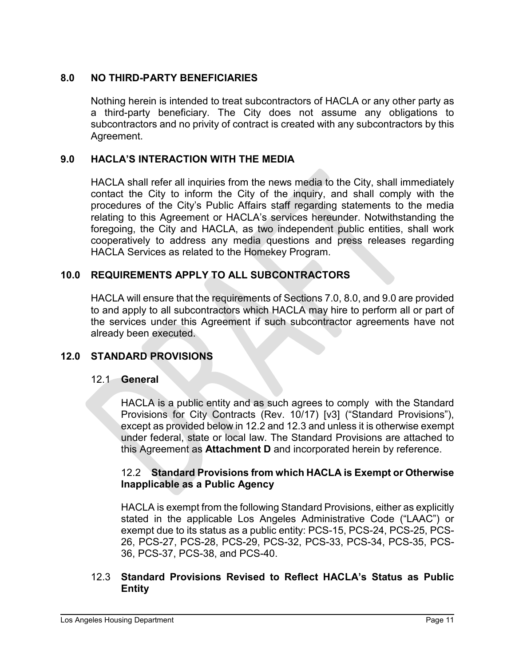# **8.0 NO THIRD-PARTY BENEFICIARIES**

Nothing herein is intended to treat subcontractors of HACLA or any other party as a third-party beneficiary. The City does not assume any obligations to subcontractors and no privity of contract is created with any subcontractors by this Agreement.

# **9.0 HACLA'S INTERACTION WITH THE MEDIA**

HACLA shall refer all inquiries from the news media to the City, shall immediately contact the City to inform the City of the inquiry, and shall comply with the procedures of the City's Public Affairs staff regarding statements to the media relating to this Agreement or HACLA's services hereunder. Notwithstanding the foregoing, the City and HACLA, as two independent public entities, shall work cooperatively to address any media questions and press releases regarding HACLA Services as related to the Homekey Program.

# **10.0 REQUIREMENTS APPLY TO ALL SUBCONTRACTORS**

HACLA will ensure that the requirements of Sections 7.0, 8.0, and 9.0 are provided to and apply to all subcontractors which HACLA may hire to perform all or part of the services under this Agreement if such subcontractor agreements have not already been executed.

# **12.0 STANDARD PROVISIONS**

#### 12.1 **General**

HACLA is a public entity and as such agrees to comply with the Standard Provisions for City Contracts (Rev. 10/17) [v3] ("Standard Provisions"), except as provided below in 12.2 and 12.3 and unless it is otherwise exempt under federal, state or local law. The Standard Provisions are attached to this Agreement as **Attachment D** and incorporated herein by reference.

#### 12.2 **Standard Provisions from which HACLA is Exempt or Otherwise Inapplicable as a Public Agency**

HACLA is exempt from the following Standard Provisions, either as explicitly stated in the applicable Los Angeles Administrative Code ("LAAC") or exempt due to its status as a public entity: PCS-15, PCS-24, PCS-25, PCS-26, PCS-27, PCS-28, PCS-29, PCS-32, PCS-33, PCS-34, PCS-35, PCS-36, PCS-37, PCS-38, and PCS-40.

#### 12.3 **Standard Provisions Revised to Reflect HACLA's Status as Public Entity**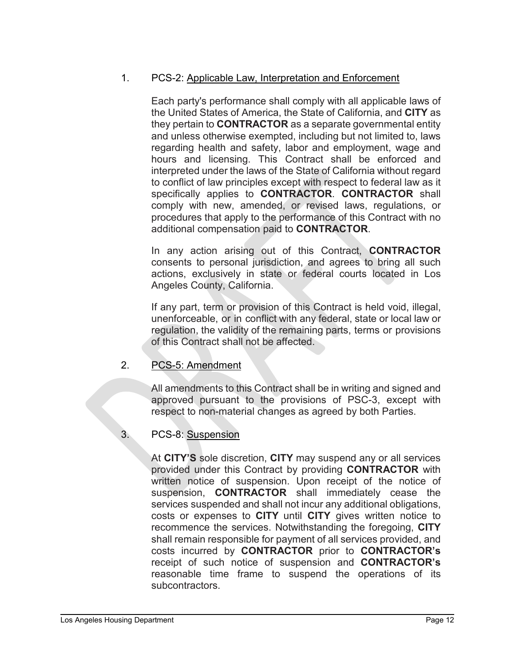# 1. PCS-2: Applicable Law, Interpretation and Enforcement

Each party's performance shall comply with all applicable laws of the United States of America, the State of California, and **CITY** as they pertain to **CONTRACTOR** as a separate governmental entity and unless otherwise exempted, including but not limited to, laws regarding health and safety, labor and employment, wage and hours and licensing. This Contract shall be enforced and interpreted under the laws of the State of California without regard to conflict of law principles except with respect to federal law as it specifically applies to **CONTRACTOR**. **CONTRACTOR** shall comply with new, amended, or revised laws, regulations, or procedures that apply to the performance of this Contract with no additional compensation paid to **CONTRACTOR**.

In any action arising out of this Contract, **CONTRACTOR**  consents to personal jurisdiction, and agrees to bring all such actions, exclusively in state or federal courts located in Los Angeles County, California.

If any part, term or provision of this Contract is held void, illegal, unenforceable, or in conflict with any federal, state or local law or regulation, the validity of the remaining parts, terms or provisions of this Contract shall not be affected.

# 2. PCS-5: Amendment

All amendments to this Contract shall be in writing and signed and approved pursuant to the provisions of PSC-3, except with respect to non-material changes as agreed by both Parties.

# 3. PCS-8: Suspension

At **CITY'S** sole discretion, **CITY** may suspend any or all services provided under this Contract by providing **CONTRACTOR** with written notice of suspension. Upon receipt of the notice of suspension, **CONTRACTOR** shall immediately cease the services suspended and shall not incur any additional obligations, costs or expenses to **CITY** until **CITY** gives written notice to recommence the services. Notwithstanding the foregoing, **CITY** shall remain responsible for payment of all services provided, and costs incurred by **CONTRACTOR** prior to **CONTRACTOR's**  receipt of such notice of suspension and **CONTRACTOR's**  reasonable time frame to suspend the operations of its subcontractors.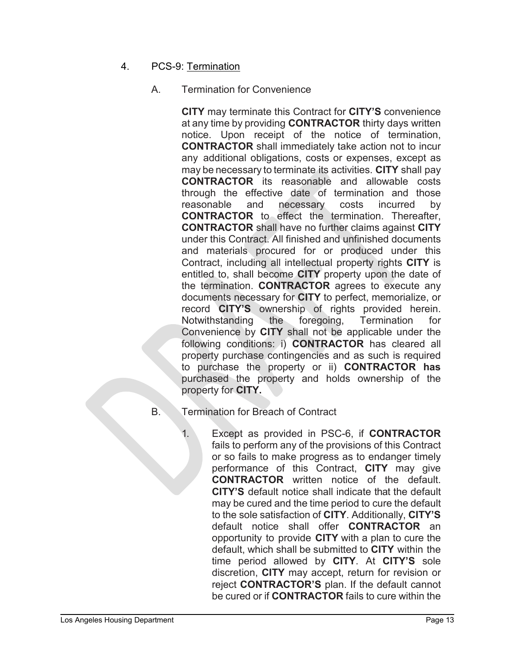- 4. PCS-9: Termination
	- A. Termination for Convenience

**CITY** may terminate this Contract for **CITY'S** convenience at any time by providing **CONTRACTOR** thirty days written notice. Upon receipt of the notice of termination, **CONTRACTOR** shall immediately take action not to incur any additional obligations, costs or expenses, except as may be necessary to terminate its activities. **CITY** shall pay **CONTRACTOR** its reasonable and allowable costs through the effective date of termination and those reasonable and necessary costs incurred by **CONTRACTOR** to effect the termination. Thereafter, **CONTRACTOR** shall have no further claims against **CITY**  under this Contract. All finished and unfinished documents and materials procured for or produced under this Contract, including all intellectual property rights **CITY** is entitled to, shall become **CITY** property upon the date of the termination. **CONTRACTOR** agrees to execute any documents necessary for **CITY** to perfect, memorialize, or record **CITY'S** ownership of rights provided herein. Notwithstanding the foregoing, Termination for Convenience by **CITY** shall not be applicable under the following conditions: i) **CONTRACTOR** has cleared all property purchase contingencies and as such is required to purchase the property or ii) **CONTRACTOR has**  purchased the property and holds ownership of the property for **CITY.**

- B. Termination for Breach of Contract
	- 1. Except as provided in PSC-6, if **CONTRACTOR**  fails to perform any of the provisions of this Contract or so fails to make progress as to endanger timely performance of this Contract, **CITY** may give **CONTRACTOR** written notice of the default. **CITY'S** default notice shall indicate that the default may be cured and the time period to cure the default to the sole satisfaction of **CITY**. Additionally, **CITY'S**  default notice shall offer **CONTRACTOR** an opportunity to provide **CITY** with a plan to cure the default, which shall be submitted to **CITY** within the time period allowed by **CITY**. At **CITY'S** sole discretion, **CITY** may accept, return for revision or reject **CONTRACTOR'S** plan. If the default cannot be cured or if **CONTRACTOR** fails to cure within the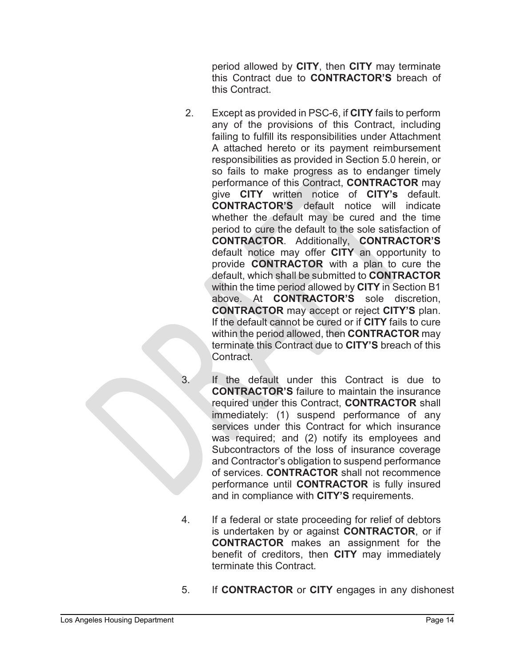period allowed by **CITY**, then **CITY** may terminate this Contract due to **CONTRACTOR'S** breach of this Contract.

- 2. Except as provided in PSC-6, if **CITY** fails to perform any of the provisions of this Contract, including failing to fulfill its responsibilities under Attachment A attached hereto or its payment reimbursement responsibilities as provided in Section 5.0 herein, or so fails to make progress as to endanger timely performance of this Contract, **CONTRACTOR** may give **CITY** written notice of **CITY's** default. **CONTRACTOR'S** default notice will indicate whether the default may be cured and the time period to cure the default to the sole satisfaction of **CONTRACTOR**. Additionally, **CONTRACTOR'S**  default notice may offer **CITY** an opportunity to provide **CONTRACTOR** with a plan to cure the default, which shall be submitted to **CONTRACTOR**  within the time period allowed by **CITY** in Section B1 above. At **CONTRACTOR'S** sole discretion, **CONTRACTOR** may accept or reject **CITY'S** plan. If the default cannot be cured or if **CITY** fails to cure within the period allowed, then **CONTRACTOR** may terminate this Contract due to **CITY'S** breach of this Contract.
- 3. If the default under this Contract is due to **CONTRACTOR'S** failure to maintain the insurance required under this Contract, **CONTRACTOR** shall immediately: (1) suspend performance of any services under this Contract for which insurance was required; and (2) notify its employees and Subcontractors of the loss of insurance coverage and Contractor's obligation to suspend performance of services. **CONTRACTOR** shall not recommence performance until **CONTRACTOR** is fully insured and in compliance with **CITY'S** requirements.
- 4. If a federal or state proceeding for relief of debtors is undertaken by or against **CONTRACTOR**, or if **CONTRACTOR** makes an assignment for the benefit of creditors, then **CITY** may immediately terminate this Contract.
- 5. If **CONTRACTOR** or **CITY** engages in any dishonest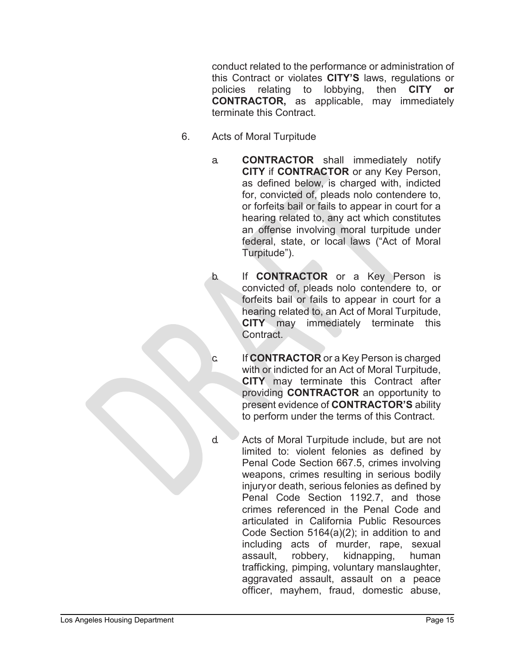conduct related to the performance or administration of this Contract or violates **CITY'S** laws, regulations or policies relating to lobbying, then **CITY or CONTRACTOR,** as applicable, may immediately terminate this Contract.

- 6. Acts of Moral Turpitude
	- a. **CONTRACTOR** shall immediately notify **CITY** if **CONTRACTOR** or any Key Person, as defined below, is charged with, indicted for, convicted of, pleads nolo contendere to, or forfeits bail or fails to appear in court for a hearing related to, any act which constitutes an offense involving moral turpitude under federal, state, or local laws ("Act of Moral Turpitude").
	- b. If **CONTRACTOR** or a Key Person is convicted of, pleads nolo contendere to, or forfeits bail or fails to appear in court for a hearing related to, an Act of Moral Turpitude, **CITY** may immediately terminate this Contract.
	- c. If **CONTRACTOR** or a Key Person is charged with or indicted for an Act of Moral Turpitude, **CITY** may terminate this Contract after providing **CONTRACTOR** an opportunity to present evidence of **CONTRACTOR'S** ability to perform under the terms of this Contract.
	- d. Acts of Moral Turpitude include, but are not limited to: violent felonies as defined by Penal Code Section 667.5, crimes involving weapons, crimes resulting in serious bodily injuryor death, serious felonies as defined by Penal Code Section 1192.7, and those crimes referenced in the Penal Code and articulated in California Public Resources Code Section 5164(a)(2); in addition to and including acts of murder, rape, sexual assault, robbery, kidnapping, human trafficking, pimping, voluntary manslaughter, aggravated assault, assault on a peace officer, mayhem, fraud, domestic abuse,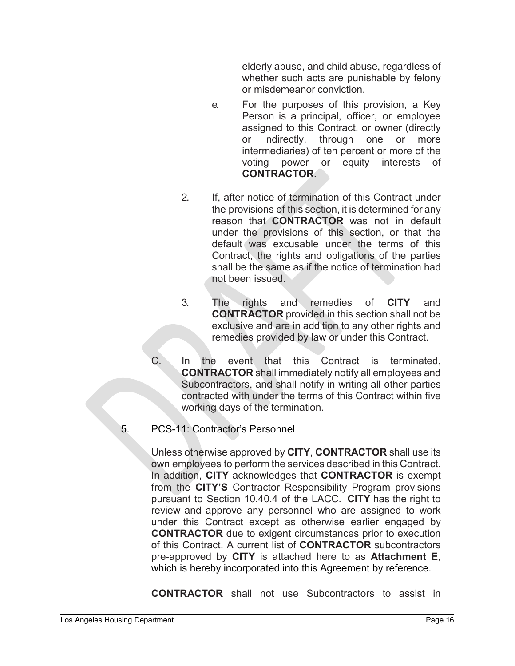elderly abuse, and child abuse, regardless of whether such acts are punishable by felony or misdemeanor conviction.

- e. For the purposes of this provision, a Key Person is a principal, officer, or employee assigned to this Contract, or owner (directly or indirectly, through one or more intermediaries) of ten percent or more of the voting power or equity interests of **CONTRACTOR**.
- 2. If, after notice of termination of this Contract under the provisions of this section, it is determined for any reason that **CONTRACTOR** was not in default under the provisions of this section, or that the default was excusable under the terms of this Contract, the rights and obligations of the parties shall be the same as if the notice of termination had not been issued.
- 3. The rights and remedies of **CITY** and **CONTRACTOR** provided in this section shall not be exclusive and are in addition to any other rights and remedies provided by law or under this Contract.
- C. In the event that this Contract is terminated, **CONTRACTOR** shall immediately notify all employees and Subcontractors, and shall notify in writing all other parties contracted with under the terms of this Contract within five working days of the termination.

#### 5. PCS-11: Contractor's Personnel

Unless otherwise approved by **CITY**, **CONTRACTOR** shall use its own employees to perform the services described in this Contract. In addition, **CITY** acknowledges that **CONTRACTOR** is exempt from the **CITY'S** Contractor Responsibility Program provisions pursuant to Section 10.40.4 of the LACC. **CITY** has the right to review and approve any personnel who are assigned to work under this Contract except as otherwise earlier engaged by **CONTRACTOR** due to exigent circumstances prior to execution of this Contract. A current list of **CONTRACTOR** subcontractors pre-approved by **CITY** is attached here to as **Attachment E**, which is hereby incorporated into this Agreement by reference.

**CONTRACTOR** shall not use Subcontractors to assist in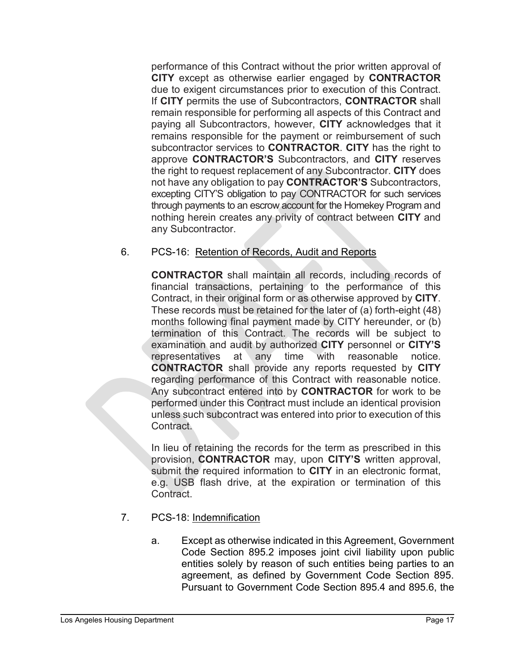performance of this Contract without the prior written approval of **CITY** except as otherwise earlier engaged by **CONTRACTOR**  due to exigent circumstances prior to execution of this Contract. If **CITY** permits the use of Subcontractors, **CONTRACTOR** shall remain responsible for performing all aspects of this Contract and paying all Subcontractors, however, **CITY** acknowledges that it remains responsible for the payment or reimbursement of such subcontractor services to **CONTRACTOR**. **CITY** has the right to approve **CONTRACTOR'S** Subcontractors, and **CITY** reserves the right to request replacement of any Subcontractor. **CITY** does not have any obligation to pay **CONTRACTOR'S** Subcontractors, excepting CITY'S obligation to pay CONTRACTOR for such services through payments to an escrow account for the Homekey Program and nothing herein creates any privity of contract between **CITY** and any Subcontractor.

# 6. PCS-16: Retention of Records, Audit and Reports

**CONTRACTOR** shall maintain all records, including records of financial transactions, pertaining to the performance of this Contract, in their original form or as otherwise approved by **CITY**. These records must be retained for the later of (a) forth-eight (48) months following final payment made by CITY hereunder, or (b) termination of this Contract. The records will be subject to examination and audit by authorized **CITY** personnel or **CITY'S**  representatives at any time with reasonable notice. **CONTRACTOR** shall provide any reports requested by **CITY**  regarding performance of this Contract with reasonable notice. Any subcontract entered into by **CONTRACTOR** for work to be performed under this Contract must include an identical provision unless such subcontract was entered into prior to execution of this Contract.

In lieu of retaining the records for the term as prescribed in this provision, **CONTRACTOR** may, upon **CITY'S** written approval, submit the required information to **CITY** in an electronic format, e.g. USB flash drive, at the expiration or termination of this Contract.

- 7. PCS-18: Indemnification
	- a. Except as otherwise indicated in this Agreement, Government Code Section 895.2 imposes joint civil liability upon public entities solely by reason of such entities being parties to an agreement, as defined by Government Code Section 895. Pursuant to Government Code Section 895.4 and 895.6, the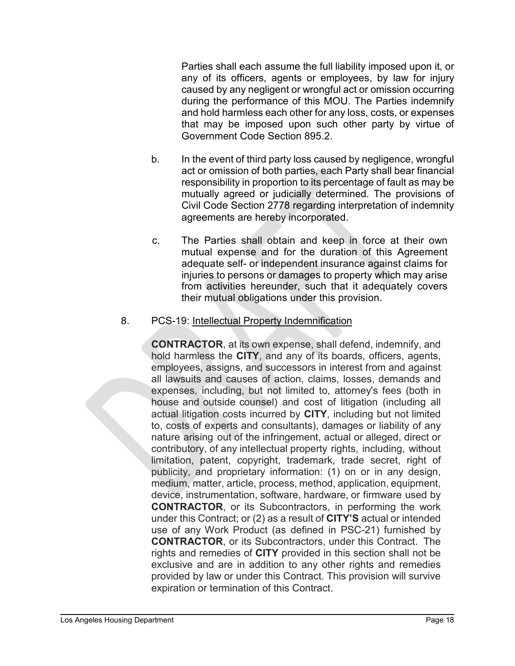Parties shall each assume the full liability imposed upon it, or any of its officers, agents or employees, by law for injury caused by any negligent or wrongful act or omission occurring during the performance of this MOU. The Parties indemnify and hold harmless each other for any loss, costs, or expenses that may be imposed upon such other party by virtue of Government Code Section 895.2.

- b. In the event of third party loss caused by negligence, wrongful act or omission of both parties, each Party shall bear financial responsibility in proportion to its percentage of fault as may be mutually agreed or judicially determined. The provisions of Civil Code Section 2778 regarding interpretation of indemnity agreements are hereby incorporated.
- c. The Parties shall obtain and keep in force at their own mutual expense and for the duration of this Agreement adequate self- or independent insurance against claims for injuries to persons or damages to property which may arise from activities hereunder, such that it adequately covers their mutual obligations under this provision.

#### 8. PCS-19: Intellectual Property Indemnification

**CONTRACTOR**, at its own expense, shall defend, indemnify, and hold harmless the **CITY**, and any of its boards, officers, agents, employees, assigns, and successors in interest from and against all lawsuits and causes of action, claims, losses, demands and expenses, including, but not limited to, attorney's fees (both in house and outside counsel) and cost of litigation (including all actual litigation costs incurred by **CITY**, including but not limited to, costs of experts and consultants), damages or liability of any nature arising out of the infringement, actual or alleged, direct or contributory, of any intellectual property rights, including, without limitation, patent, copyright, trademark, trade secret, right of publicity, and proprietary information: (1) on or in any design, medium, matter, article, process, method, application, equipment, device, instrumentation, software, hardware, or firmware used by **CONTRACTOR**, or its Subcontractors, in performing the work under this Contract; or (2) as a result of **CITY'S** actual or intended use of any Work Product (as defined in PSC-21) furnished by **CONTRACTOR**, or its Subcontractors, under this Contract. The rights and remedies of **CITY** provided in this section shall not be exclusive and are in addition to any other rights and remedies provided by law or under this Contract. This provision will survive expiration or termination of this Contract.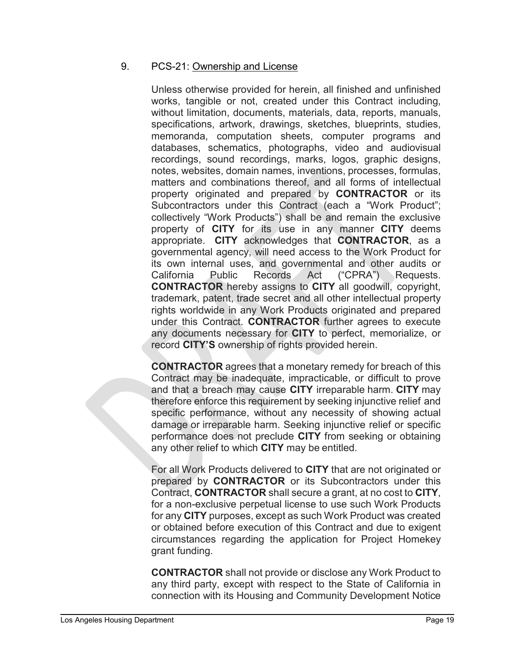#### 9. PCS-21: Ownership and License

Unless otherwise provided for herein, all finished and unfinished works, tangible or not, created under this Contract including, without limitation, documents, materials, data, reports, manuals, specifications, artwork, drawings, sketches, blueprints, studies, memoranda, computation sheets, computer programs and databases, schematics, photographs, video and audiovisual recordings, sound recordings, marks, logos, graphic designs, notes, websites, domain names, inventions, processes, formulas, matters and combinations thereof, and all forms of intellectual property originated and prepared by **CONTRACTOR** or its Subcontractors under this Contract (each a "Work Product"; collectively "Work Products") shall be and remain the exclusive property of **CITY** for its use in any manner **CITY** deems appropriate. **CITY** acknowledges that **CONTRACTOR**, as a governmental agency, will need access to the Work Product for its own internal uses, and governmental and other audits or California Public Records Act ("CPRA") Requests. **CONTRACTOR** hereby assigns to **CITY** all goodwill, copyright, trademark, patent, trade secret and all other intellectual property rights worldwide in any Work Products originated and prepared under this Contract. **CONTRACTOR** further agrees to execute any documents necessary for **CITY** to perfect, memorialize, or record **CITY'S** ownership of rights provided herein.

**CONTRACTOR** agrees that a monetary remedy for breach of this Contract may be inadequate, impracticable, or difficult to prove and that a breach may cause **CITY** irreparable harm. **CITY** may therefore enforce this requirement by seeking injunctive relief and specific performance, without any necessity of showing actual damage or irreparable harm. Seeking injunctive relief or specific performance does not preclude **CITY** from seeking or obtaining any other relief to which **CITY** may be entitled.

For all Work Products delivered to **CITY** that are not originated or prepared by **CONTRACTOR** or its Subcontractors under this Contract, **CONTRACTOR** shall secure a grant, at no cost to **CITY**, for a non-exclusive perpetual license to use such Work Products for any **CITY** purposes, except as such Work Product was created or obtained before execution of this Contract and due to exigent circumstances regarding the application for Project Homekey grant funding.

**CONTRACTOR** shall not provide or disclose any Work Product to any third party, except with respect to the State of California in connection with its Housing and Community Development Notice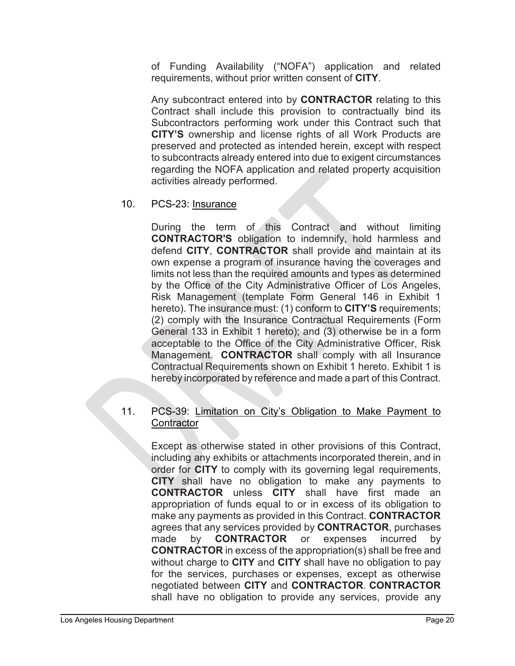of Funding Availability ("NOFA") application and related requirements, without prior written consent of **CITY**.

Any subcontract entered into by **CONTRACTOR** relating to this Contract shall include this provision to contractually bind its Subcontractors performing work under this Contract such that **CITY'S** ownership and license rights of all Work Products are preserved and protected as intended herein, except with respect to subcontracts already entered into due to exigent circumstances regarding the NOFA application and related property acquisition activities already performed.

#### 10. PCS-23: Insurance

During the term of this Contract and without limiting **CONTRACTOR'S** obligation to indemnify, hold harmless and defend **CITY**, **CONTRACTOR** shall provide and maintain at its own expense a program of insurance having the coverages and limits not less than the required amounts and types as determined by the Office of the City Administrative Officer of Los Angeles, Risk Management (template Form General 146 in Exhibit 1 hereto). The insurance must: (1) conform to **CITY'S** requirements; (2) comply with the Insurance Contractual Requirements (Form General 133 in Exhibit 1 hereto); and (3) otherwise be in a form acceptable to the Office of the City Administrative Officer, Risk Management. **CONTRACTOR** shall comply with all Insurance Contractual Requirements shown on Exhibit 1 hereto. Exhibit 1 is hereby incorporated by reference and made a part of this Contract.

#### 11. PCS-39: Limitation on City's Obligation to Make Payment to **Contractor**

Except as otherwise stated in other provisions of this Contract, including any exhibits or attachments incorporated therein, and in order for **CITY** to comply with its governing legal requirements, **CITY** shall have no obligation to make any payments to **CONTRACTOR** unless **CITY** shall have first made an appropriation of funds equal to or in excess of its obligation to make any payments as provided in this Contract. **CONTRACTOR**  agrees that any services provided by **CONTRACTOR**, purchases made by **CONTRACTOR** or expenses incurred by **CONTRACTOR** in excess of the appropriation(s) shall be free and without charge to **CITY** and **CITY** shall have no obligation to pay for the services, purchases or expenses, except as otherwise negotiated between **CITY** and **CONTRACTOR**. **CONTRACTOR** shall have no obligation to provide any services, provide any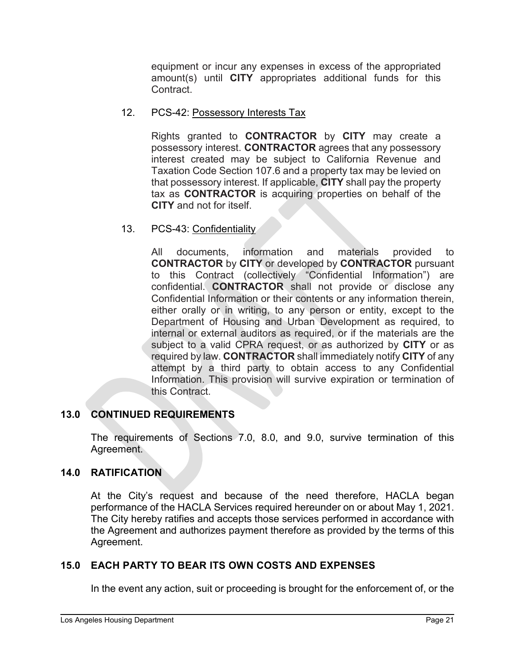equipment or incur any expenses in excess of the appropriated amount(s) until **CITY** appropriates additional funds for this Contract.

# 12. PCS-42: Possessory Interests Tax

Rights granted to **CONTRACTOR** by **CITY** may create a possessory interest. **CONTRACTOR** agrees that any possessory interest created may be subject to California Revenue and Taxation Code Section 107.6 and a property tax may be levied on that possessory interest. If applicable, **CITY** shall pay the property tax as **CONTRACTOR** is acquiring properties on behalf of the **CITY** and not for itself.

# 13. PCS-43: Confidentiality

All documents, information and materials provided to **CONTRACTOR** by **CITY** or developed by **CONTRACTOR** pursuant to this Contract (collectively "Confidential Information") are confidential. **CONTRACTOR** shall not provide or disclose any Confidential Information or their contents or any information therein, either orally or in writing, to any person or entity, except to the Department of Housing and Urban Development as required, to internal or external auditors as required, or if the materials are the subject to a valid CPRA request, or as authorized by **CITY** or as required by law. **CONTRACTOR** shall immediately notify **CITY** of any attempt by a third party to obtain access to any Confidential Information. This provision will survive expiration or termination of this Contract.

# **13.0 CONTINUED REQUIREMENTS**

The requirements of Sections 7.0, 8.0, and 9.0, survive termination of this Agreement.

# **14.0 RATIFICATION**

At the City's request and because of the need therefore, HACLA began performance of the HACLA Services required hereunder on or about May 1, 2021. The City hereby ratifies and accepts those services performed in accordance with the Agreement and authorizes payment therefore as provided by the terms of this Agreement.

# **15.0 EACH PARTY TO BEAR ITS OWN COSTS AND EXPENSES**

In the event any action, suit or proceeding is brought for the enforcement of, or the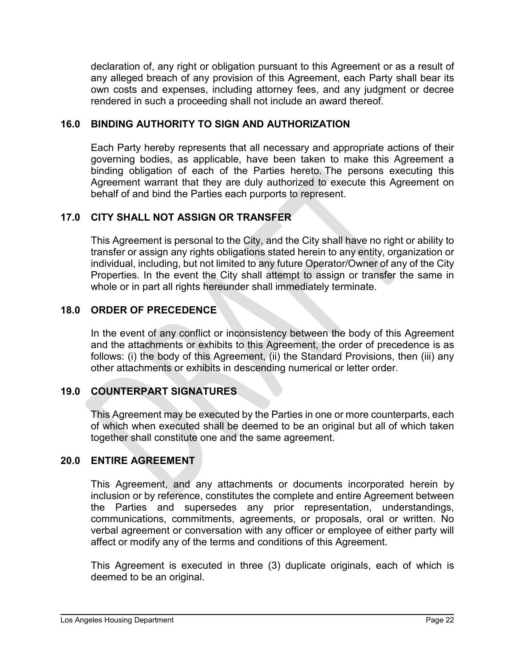declaration of, any right or obligation pursuant to this Agreement or as a result of any alleged breach of any provision of this Agreement, each Party shall bear its own costs and expenses, including attorney fees, and any judgment or decree rendered in such a proceeding shall not include an award thereof.

# **16.0 BINDING AUTHORITY TO SIGN AND AUTHORIZATION**

Each Party hereby represents that all necessary and appropriate actions of their governing bodies, as applicable, have been taken to make this Agreement a binding obligation of each of the Parties hereto. The persons executing this Agreement warrant that they are duly authorized to execute this Agreement on behalf of and bind the Parties each purports to represent.

# **17.0 CITY SHALL NOT ASSIGN OR TRANSFER**

This Agreement is personal to the City, and the City shall have no right or ability to transfer or assign any rights obligations stated herein to any entity, organization or individual, including, but not limited to any future Operator/Owner of any of the City Properties. In the event the City shall attempt to assign or transfer the same in whole or in part all rights hereunder shall immediately terminate.

# **18.0 ORDER OF PRECEDENCE**

In the event of any conflict or inconsistency between the body of this Agreement and the attachments or exhibits to this Agreement, the order of precedence is as follows: (i) the body of this Agreement, (ii) the Standard Provisions, then (iii) any other attachments or exhibits in descending numerical or letter order.

# **19.0 COUNTERPART SIGNATURES**

This Agreement may be executed by the Parties in one or more counterparts, each of which when executed shall be deemed to be an original but all of which taken together shall constitute one and the same agreement.

# **20.0 ENTIRE AGREEMENT**

This Agreement, and any attachments or documents incorporated herein by inclusion or by reference, constitutes the complete and entire Agreement between the Parties and supersedes any prior representation, understandings, communications, commitments, agreements, or proposals, oral or written. No verbal agreement or conversation with any officer or employee of either party will affect or modify any of the terms and conditions of this Agreement.

This Agreement is executed in three (3) duplicate originals, each of which is deemed to be an original.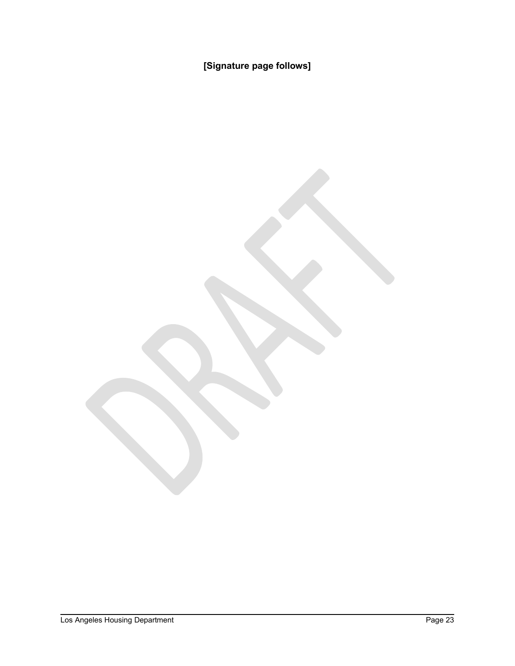**[Signature page follows]**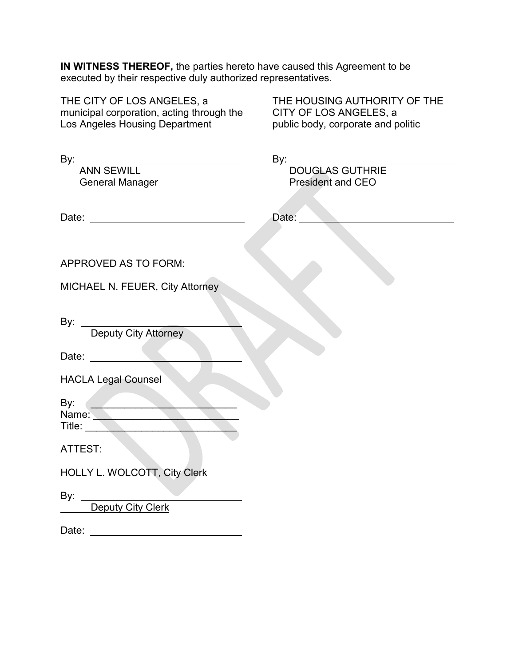**IN WITNESS THEREOF,** the parties hereto have caused this Agreement to be executed by their respective duly authorized representatives.

| THE CITY OF LOS ANGELES, a<br>municipal corporation, acting through the<br>Los Angeles Housing Department | THE HOUSING AUTHORITY OF THE<br>CITY OF LOS ANGELES, a<br>public body, corporate and politic |
|-----------------------------------------------------------------------------------------------------------|----------------------------------------------------------------------------------------------|
| By: <u>ANN SEWILL AND SEWILL AND T</u><br><b>General Manager</b>                                          | By: DOUGLAS GUTHRIE<br><b>President and CEO</b>                                              |
| Date: __________________________________                                                                  | Date:                                                                                        |
| <b>APPROVED AS TO FORM:</b>                                                                               |                                                                                              |
| MICHAEL N. FEUER, City Attorney                                                                           |                                                                                              |
| Deputy City Attorney<br>By: _<br>Date:                                                                    |                                                                                              |
| <b>HACLA Legal Counsel</b>                                                                                |                                                                                              |
| By:<br>Name:<br>Title:                                                                                    |                                                                                              |
| ATTEST:                                                                                                   |                                                                                              |
| HOLLY L. WOLCOTT, City Clerk                                                                              |                                                                                              |
| Deputy City Clerk                                                                                         |                                                                                              |
| Date:                                                                                                     |                                                                                              |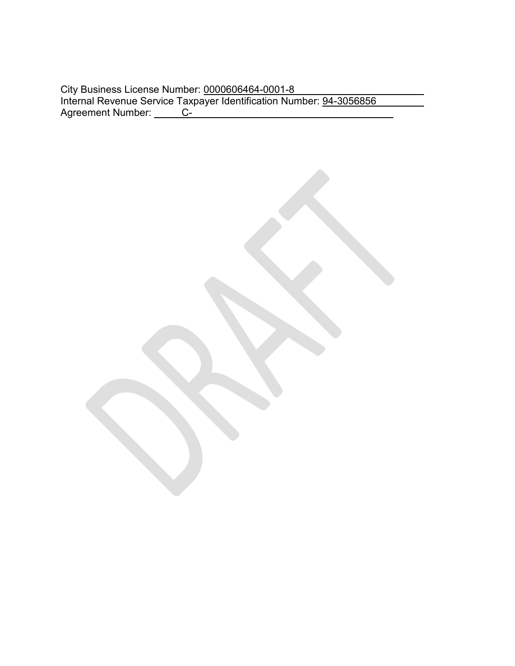|                   | City Business License Number: 0000606464-0001-8                     |
|-------------------|---------------------------------------------------------------------|
|                   | Internal Revenue Service Taxpayer Identification Number: 94-3056856 |
| Agreement Number: |                                                                     |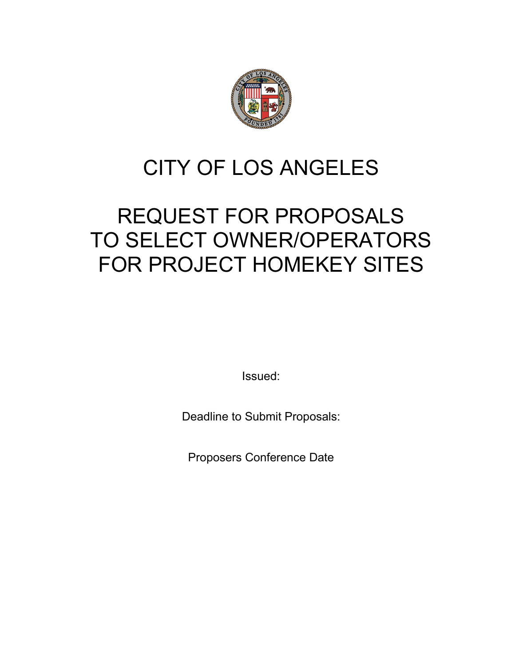

# CITY OF LOS ANGELES

# REQUEST FOR PROPOSALS TO SELECT OWNER/OPERATORS FOR PROJECT HOMEKEY SITES

Issued:

Deadline to Submit Proposals:

Proposers Conference Date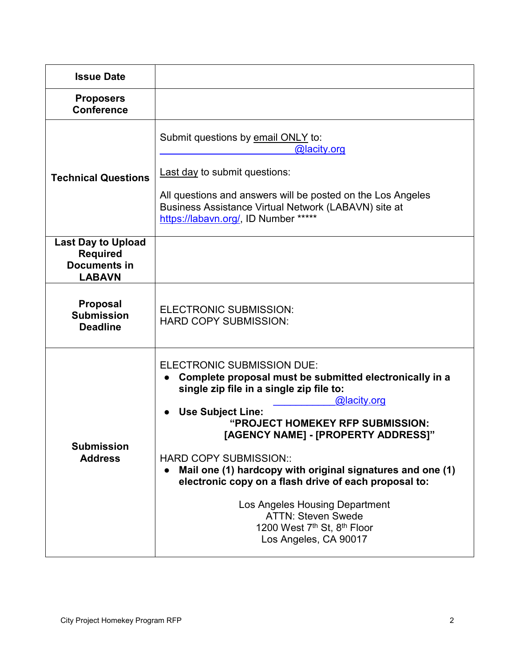| <b>Issue Date</b>                                                                    |                                                                                                                                                                                                                                                                                                                                                                                                                                                                                                                                                                                    |
|--------------------------------------------------------------------------------------|------------------------------------------------------------------------------------------------------------------------------------------------------------------------------------------------------------------------------------------------------------------------------------------------------------------------------------------------------------------------------------------------------------------------------------------------------------------------------------------------------------------------------------------------------------------------------------|
| <b>Proposers</b><br><b>Conference</b>                                                |                                                                                                                                                                                                                                                                                                                                                                                                                                                                                                                                                                                    |
| <b>Technical Questions</b>                                                           | Submit questions by email ONLY to:<br>@lacity.org<br>Last day to submit questions:<br>All questions and answers will be posted on the Los Angeles<br>Business Assistance Virtual Network (LABAVN) site at<br>https://labavn.org/, ID Number *****                                                                                                                                                                                                                                                                                                                                  |
| <b>Last Day to Upload</b><br><b>Required</b><br><b>Documents in</b><br><b>LABAVN</b> |                                                                                                                                                                                                                                                                                                                                                                                                                                                                                                                                                                                    |
| <b>Proposal</b><br><b>Submission</b><br><b>Deadline</b>                              | <b>ELECTRONIC SUBMISSION:</b><br><b>HARD COPY SUBMISSION:</b>                                                                                                                                                                                                                                                                                                                                                                                                                                                                                                                      |
| <b>Submission</b><br><b>Address</b>                                                  | <b>ELECTRONIC SUBMISSION DUE:</b><br>Complete proposal must be submitted electronically in a<br>single zip file in a single zip file to:<br>@lacity.org<br><b>Use Subject Line:</b><br>"PROJECT HOMEKEY RFP SUBMISSION:<br>[AGENCY NAME] - [PROPERTY ADDRESS]"<br><b>HARD COPY SUBMISSION::</b><br>Mail one (1) hardcopy with original signatures and one (1)<br>$\bullet$<br>electronic copy on a flash drive of each proposal to:<br>Los Angeles Housing Department<br><b>ATTN: Steven Swede</b><br>1200 West 7 <sup>th</sup> St. 8 <sup>th</sup> Floor<br>Los Angeles, CA 90017 |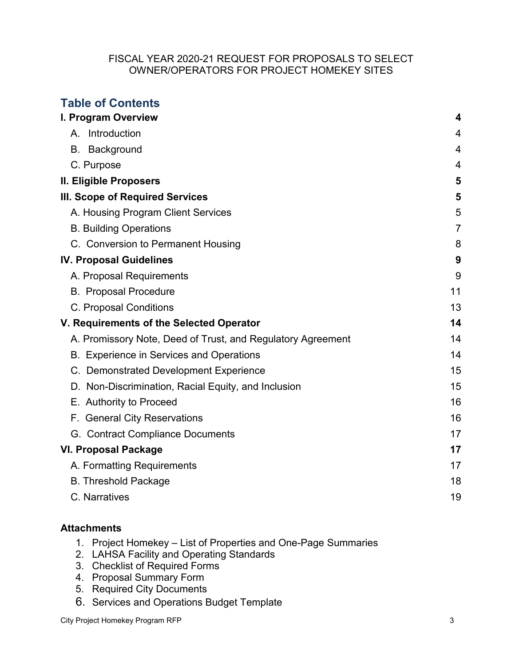#### FISCAL YEAR 2020-21 REQUEST FOR PROPOSALS TO SELECT OWNER/OPERATORS FOR PROJECT HOMEKEY SITES

| <b>Table of Contents</b>                                    |                |
|-------------------------------------------------------------|----------------|
| I. Program Overview                                         | 4              |
| A. Introduction                                             | 4              |
| <b>B.</b> Background                                        | 4              |
| C. Purpose                                                  | $\overline{4}$ |
| II. Eligible Proposers                                      | 5              |
| III. Scope of Required Services                             | 5              |
| A. Housing Program Client Services                          | 5              |
| <b>B. Building Operations</b>                               | $\overline{7}$ |
| C. Conversion to Permanent Housing                          | 8              |
| <b>IV. Proposal Guidelines</b>                              | 9              |
| A. Proposal Requirements                                    | 9              |
| <b>B.</b> Proposal Procedure                                | 11             |
| C. Proposal Conditions                                      | 13             |
| V. Requirements of the Selected Operator                    | 14             |
| A. Promissory Note, Deed of Trust, and Regulatory Agreement | 14             |
| B. Experience in Services and Operations                    | 14             |
| C. Demonstrated Development Experience                      | 15             |
| D. Non-Discrimination, Racial Equity, and Inclusion         | 15             |
| E. Authority to Proceed                                     | 16             |
| F. General City Reservations                                | 16             |
| G. Contract Compliance Documents                            | 17             |
| <b>VI. Proposal Package</b>                                 | 17             |
| A. Formatting Requirements                                  | 17             |
| <b>B. Threshold Package</b>                                 | 18             |
| C. Narratives                                               | 19             |

# **Attachments**

- 1. Project Homekey List of Properties and One-Page Summaries
- 2. LAHSA Facility and Operating Standards
- 3. Checklist of Required Forms
- 4. Proposal Summary Form
- 5. Required City Documents
- 6. Services and Operations Budget Template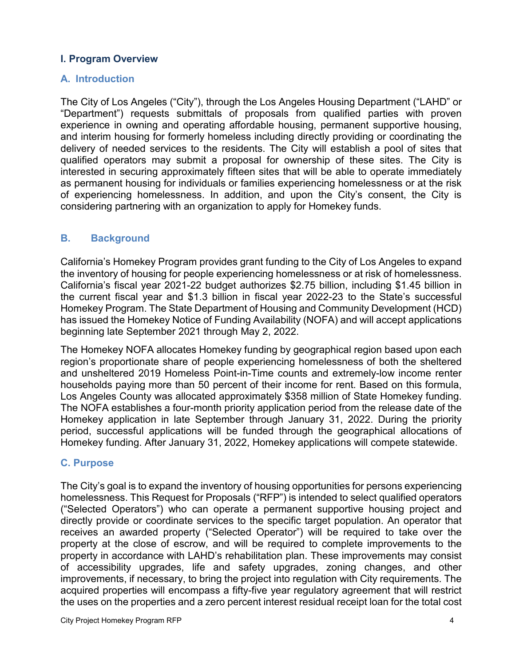# <span id="page-40-0"></span>**I. Program Overview**

#### <span id="page-40-1"></span>**A. Introduction**

The City of Los Angeles ("City"), through the Los Angeles Housing Department ("LAHD" or "Department") requests submittals of proposals from qualified parties with proven experience in owning and operating affordable housing, permanent supportive housing, and interim housing for formerly homeless including directly providing or coordinating the delivery of needed services to the residents. The City will establish a pool of sites that qualified operators may submit a proposal for ownership of these sites. The City is interested in securing approximately fifteen sites that will be able to operate immediately as permanent housing for individuals or families experiencing homelessness or at the risk of experiencing homelessness. In addition, and upon the City's consent, the City is considering partnering with an organization to apply for Homekey funds.

#### <span id="page-40-3"></span><span id="page-40-2"></span>**B. Background**

California's Homekey Program provides grant funding to the City of Los Angeles to expand the inventory of housing for people experiencing homelessness or at risk of homelessness. California's fiscal year 2021-22 budget authorizes \$2.75 billion, including \$1.45 billion in the current fiscal year and \$1.3 billion in fiscal year 2022-23 to the State's successful Homekey Program. The State Department of Housing and Community Development (HCD) has issued the Homekey Notice of Funding Availability (NOFA) and will accept applications beginning late September 2021 through May 2, 2022.

The Homekey NOFA allocates Homekey funding by geographical region based upon each region's proportionate share of people experiencing homelessness of both the sheltered and unsheltered 2019 Homeless Point-in-Time counts and extremely-low income renter households paying more than 50 percent of their income for rent. Based on this formula, Los Angeles County was allocated approximately \$358 million of State Homekey funding. The NOFA establishes a four-month priority application period from the release date of the Homekey application in late September through January 31, 2022. During the priority period, successful applications will be funded through the geographical allocations of Homekey funding. After January 31, 2022, Homekey applications will compete statewide.

#### **C. Purpose**

The City's goal is to expand the inventory of housing opportunities for persons experiencing homelessness. This Request for Proposals ("RFP") is intended to select qualified operators ("Selected Operators") who can operate a permanent supportive housing project and directly provide or coordinate services to the specific target population. An operator that receives an awarded property ("Selected Operator") will be required to take over the property at the close of escrow, and will be required to complete improvements to the property in accordance with LAHD's rehabilitation plan. These improvements may consist of accessibility upgrades, life and safety upgrades, zoning changes, and other improvements, if necessary, to bring the project into regulation with City requirements. The acquired properties will encompass a fifty-five year regulatory agreement that will restrict the uses on the properties and a zero percent interest residual receipt loan for the total cost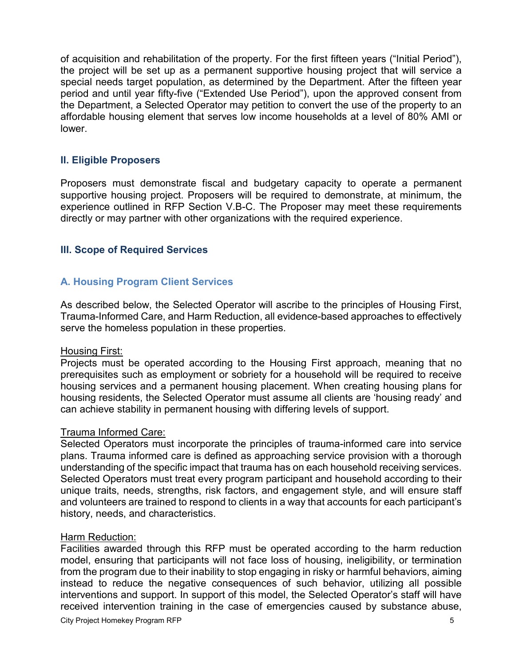of acquisition and rehabilitation of the property. For the first fifteen years ("Initial Period"), the project will be set up as a permanent supportive housing project that will service a special needs target population, as determined by the Department. After the fifteen year period and until year fifty-five ("Extended Use Period"), upon the approved consent from the Department, a Selected Operator may petition to convert the use of the property to an affordable housing element that serves low income households at a level of 80% AMI or lower.

#### <span id="page-41-0"></span>**II. Eligible Proposers**

Proposers must demonstrate fiscal and budgetary capacity to operate a permanent supportive housing project. Proposers will be required to demonstrate, at minimum, the experience outlined in RFP Section V.B-C. The Proposer may meet these requirements directly or may partner with other organizations with the required experience.

#### <span id="page-41-1"></span>**III. Scope of Required Services**

#### <span id="page-41-2"></span>**A. Housing Program Client Services**

As described below, the Selected Operator will ascribe to the principles of Housing First, Trauma-Informed Care, and Harm Reduction, all evidence-based approaches to effectively serve the homeless population in these properties.

#### Housing First:

Projects must be operated according to the Housing First approach, meaning that no prerequisites such as employment or sobriety for a household will be required to receive housing services and a permanent housing placement. When creating housing plans for housing residents, the Selected Operator must assume all clients are 'housing ready' and can achieve stability in permanent housing with differing levels of support.

#### Trauma Informed Care:

Selected Operators must incorporate the principles of trauma-informed care into service plans. Trauma informed care is defined as approaching service provision with a thorough understanding of the specific impact that trauma has on each household receiving services. Selected Operators must treat every program participant and household according to their unique traits, needs, strengths, risk factors, and engagement style, and will ensure staff and volunteers are trained to respond to clients in a way that accounts for each participant's history, needs, and characteristics.

#### Harm Reduction:

Facilities awarded through this RFP must be operated according to the harm reduction model, ensuring that participants will not face loss of housing, ineligibility, or termination from the program due to their inability to stop engaging in risky or harmful behaviors, aiming instead to reduce the negative consequences of such behavior, utilizing all possible interventions and support. In support of this model, the Selected Operator's staff will have received intervention training in the case of emergencies caused by substance abuse,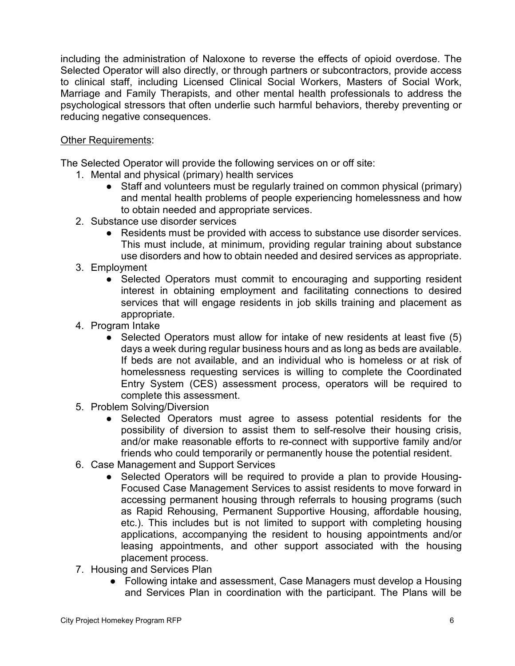including the administration of Naloxone to reverse the effects of opioid overdose. The Selected Operator will also directly, or through partners or subcontractors, provide access to clinical staff, including Licensed Clinical Social Workers, Masters of Social Work, Marriage and Family Therapists, and other mental health professionals to address the psychological stressors that often underlie such harmful behaviors, thereby preventing or reducing negative consequences.

# Other Requirements:

The Selected Operator will provide the following services on or off site:

- 1. Mental and physical (primary) health services
	- Staff and volunteers must be regularly trained on common physical (primary) and mental health problems of people experiencing homelessness and how to obtain needed and appropriate services.
- 2. Substance use disorder services
	- Residents must be provided with access to substance use disorder services. This must include, at minimum, providing regular training about substance use disorders and how to obtain needed and desired services as appropriate.
- 3. Employment
	- Selected Operators must commit to encouraging and supporting resident interest in obtaining employment and facilitating connections to desired services that will engage residents in job skills training and placement as appropriate.
- 4. Program Intake
	- Selected Operators must allow for intake of new residents at least five (5) days a week during regular business hours and as long as beds are available. If beds are not available, and an individual who is homeless or at risk of homelessness requesting services is willing to complete the Coordinated Entry System (CES) assessment process, operators will be required to complete this assessment.
- 5. Problem Solving/Diversion
	- Selected Operators must agree to assess potential residents for the possibility of diversion to assist them to self-resolve their housing crisis, and/or make reasonable efforts to re-connect with supportive family and/or friends who could temporarily or permanently house the potential resident.
- 6. Case Management and Support Services
	- Selected Operators will be required to provide a plan to provide Housing-Focused Case Management Services to assist residents to move forward in accessing permanent housing through referrals to housing programs (such as Rapid Rehousing, Permanent Supportive Housing, affordable housing, etc.). This includes but is not limited to support with completing housing applications, accompanying the resident to housing appointments and/or leasing appointments, and other support associated with the housing placement process.
- 7. Housing and Services Plan
	- Following intake and assessment, Case Managers must develop a Housing and Services Plan in coordination with the participant. The Plans will be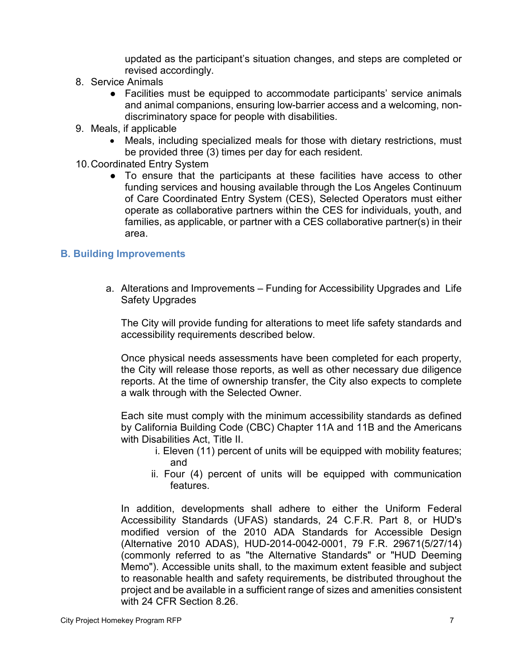updated as the participant's situation changes, and steps are completed or revised accordingly.

- 8. Service Animals
	- Facilities must be equipped to accommodate participants' service animals and animal companions, ensuring low-barrier access and a welcoming, nondiscriminatory space for people with disabilities.
- 9. Meals, if applicable
	- Meals, including specialized meals for those with dietary restrictions, must be provided three (3) times per day for each resident.
- 10.Coordinated Entry System
	- To ensure that the participants at these facilities have access to other funding services and housing available through the Los Angeles Continuum of Care Coordinated Entry System (CES), Selected Operators must either operate as collaborative partners within the CES for individuals, youth, and families, as applicable, or partner with a CES collaborative partner(s) in their area.

#### <span id="page-43-0"></span>**B. Building Improvements**

a. Alterations and Improvements – Funding for Accessibility Upgrades and Life Safety Upgrades

The City will provide funding for alterations to meet life safety standards and accessibility requirements described below.

Once physical needs assessments have been completed for each property, the City will release those reports, as well as other necessary due diligence reports. At the time of ownership transfer, the City also expects to complete a walk through with the Selected Owner.

Each site must comply with the minimum accessibility standards as defined by California Building Code (CBC) Chapter 11A and 11B and the Americans with Disabilities Act, Title II.

- i. Eleven (11) percent of units will be equipped with mobility features; and
- ii. Four (4) percent of units will be equipped with communication features.

In addition, developments shall adhere to either the Uniform Federal Accessibility Standards (UFAS) standards, 24 C.F.R. Part 8, or HUD's modified version of the 2010 ADA Standards for Accessible Design (Alternative 2010 ADAS), HUD-2014-0042-0001, 79 F.R. 29671(5/27/14) (commonly referred to as "the Alternative Standards" or "HUD Deeming Memo"). Accessible units shall, to the maximum extent feasible and subject to reasonable health and safety requirements, be distributed throughout the project and be available in a sufficient range of sizes and amenities consistent with 24 CFR Section 8.26.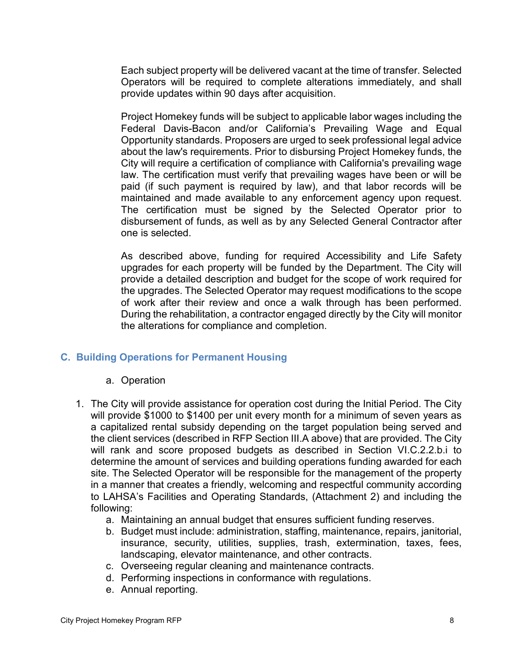Each subject property will be delivered vacant at the time of transfer. Selected Operators will be required to complete alterations immediately, and shall provide updates within 90 days after acquisition.

Project Homekey funds will be subject to applicable labor wages including the Federal Davis-Bacon and/or California's Prevailing Wage and Equal Opportunity standards. Proposers are urged to seek professional legal advice about the law's requirements. Prior to disbursing Project Homekey funds, the City will require a certification of compliance with California's prevailing wage law. The certification must verify that prevailing wages have been or will be paid (if such payment is required by law), and that labor records will be maintained and made available to any enforcement agency upon request. The certification must be signed by the Selected Operator prior to disbursement of funds, as well as by any Selected General Contractor after one is selected.

As described above, funding for required Accessibility and Life Safety upgrades for each property will be funded by the Department. The City will provide a detailed description and budget for the scope of work required for the upgrades. The Selected Operator may request modifications to the scope of work after their review and once a walk through has been performed. During the rehabilitation, a contractor engaged directly by the City will monitor the alterations for compliance and completion.

# <span id="page-44-0"></span>**C. Building Operations for Permanent Housing**

#### a. Operation

- 1. The City will provide assistance for operation cost during the Initial Period. The City will provide \$1000 to \$1400 per unit every month for a minimum of seven years as a capitalized rental subsidy depending on the target population being served and the client services (described in RFP Section III.A above) that are provided. The City will rank and score proposed budgets as described in Section VI.C.2.2.b.i to determine the amount of services and building operations funding awarded for each site. The Selected Operator will be responsible for the management of the property in a manner that creates a friendly, welcoming and respectful community according to LAHSA's Facilities and Operating Standards, (Attachment 2) and including the following:
	- a. Maintaining an annual budget that ensures sufficient funding reserves.
	- b. Budget must include: administration, staffing, maintenance, repairs, janitorial, insurance, security, utilities, supplies, trash, extermination, taxes, fees, landscaping, elevator maintenance, and other contracts.
	- c. Overseeing regular cleaning and maintenance contracts.
	- d. Performing inspections in conformance with regulations.
	- e. Annual reporting.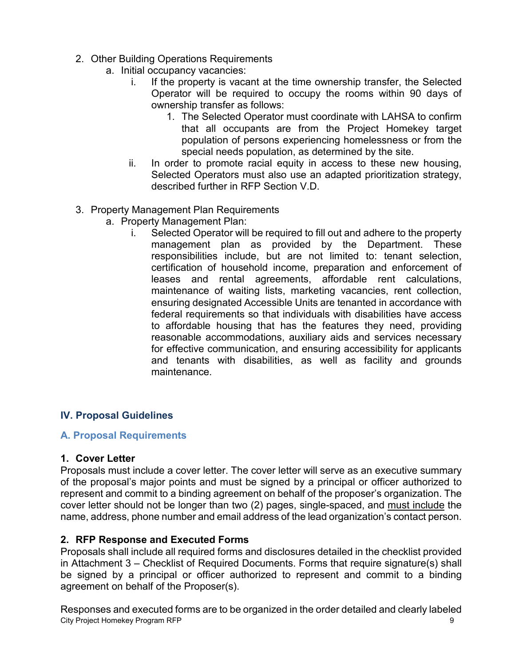- 2. Other Building Operations Requirements
	- a. Initial occupancy vacancies:
		- i. If the property is vacant at the time ownership transfer, the Selected Operator will be required to occupy the rooms within 90 days of ownership transfer as follows:
			- 1. The Selected Operator must coordinate with LAHSA to confirm that all occupants are from the Project Homekey target population of persons experiencing homelessness or from the special needs population, as determined by the site.
		- ii. In order to promote racial equity in access to these new housing, Selected Operators must also use an adapted prioritization strategy, described further in RFP Section V.D.
- 3. Property Management Plan Requirements
	- a. Property Management Plan:
		- i. Selected Operator will be required to fill out and adhere to the property management plan as provided by the Department. These responsibilities include, but are not limited to: tenant selection, certification of household income, preparation and enforcement of leases and rental agreements, affordable rent calculations, maintenance of waiting lists, marketing vacancies, rent collection, ensuring designated Accessible Units are tenanted in accordance with federal requirements so that individuals with disabilities have access to affordable housing that has the features they need, providing reasonable accommodations, auxiliary aids and services necessary for effective communication, and ensuring accessibility for applicants and tenants with disabilities, as well as facility and grounds maintenance.

# <span id="page-45-0"></span>**IV. Proposal Guidelines**

#### <span id="page-45-1"></span>**A. Proposal Requirements**

#### **1. Cover Letter**

Proposals must include a cover letter. The cover letter will serve as an executive summary of the proposal's major points and must be signed by a principal or officer authorized to represent and commit to a binding agreement on behalf of the proposer's organization. The cover letter should not be longer than two (2) pages, single-spaced, and must include the name, address, phone number and email address of the lead organization's contact person.

# **2. RFP Response and Executed Forms**

Proposals shall include all required forms and disclosures detailed in the checklist provided in Attachment 3 – Checklist of Required Documents. Forms that require signature(s) shall be signed by a principal or officer authorized to represent and commit to a binding agreement on behalf of the Proposer(s).

City Project Homekey Program RFP 9 Responses and executed forms are to be organized in the order detailed and clearly labeled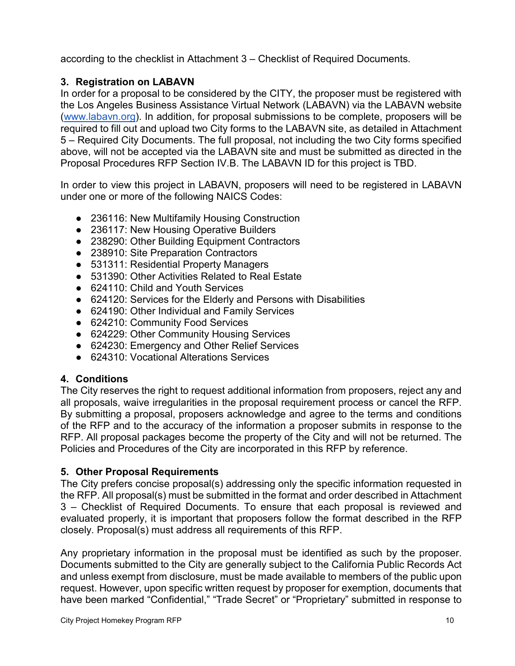according to the checklist in Attachment 3 – Checklist of Required Documents.

# **3. Registration on LABAVN**

In order for a proposal to be considered by the CITY, the proposer must be registered with the Los Angeles Business Assistance Virtual Network (LABAVN) via the LABAVN website [\(www.labavn.org\)](http://www.labavn.org/). In addition, for proposal submissions to be complete, proposers will be required to fill out and upload two City forms to the LABAVN site, as detailed in Attachment 5 – Required City Documents. The full proposal, not including the two City forms specified above, will not be accepted via the LABAVN site and must be submitted as directed in the Proposal Procedures RFP Section IV.B. The LABAVN ID for this project is TBD.

In order to view this project in LABAVN, proposers will need to be registered in LABAVN under one or more of the following NAICS Codes:

- 236116: New Multifamily Housing Construction
- 236117: New Housing Operative Builders
- 238290: Other Building Equipment Contractors
- 238910: Site Preparation Contractors
- 531311: Residential Property Managers
- 531390: Other Activities Related to Real Estate
- 624110: Child and Youth Services
- 624120: Services for the Elderly and Persons with Disabilities
- 624190: Other Individual and Family Services
- 624210: Community Food Services
- 624229: Other Community Housing Services
- 624230: Emergency and Other Relief Services
- 624310: Vocational Alterations Services

# **4. Conditions**

The City reserves the right to request additional information from proposers, reject any and all proposals, waive irregularities in the proposal requirement process or cancel the RFP. By submitting a proposal, proposers acknowledge and agree to the terms and conditions of the RFP and to the accuracy of the information a proposer submits in response to the RFP. All proposal packages become the property of the City and will not be returned. The Policies and Procedures of the City are incorporated in this RFP by reference.

#### **5. Other Proposal Requirements**

The City prefers concise proposal(s) addressing only the specific information requested in the RFP. All proposal(s) must be submitted in the format and order described in Attachment 3 – Checklist of Required Documents. To ensure that each proposal is reviewed and evaluated properly, it is important that proposers follow the format described in the RFP closely. Proposal(s) must address all requirements of this RFP.

Any proprietary information in the proposal must be identified as such by the proposer. Documents submitted to the City are generally subject to the California Public Records Act and unless exempt from disclosure, must be made available to members of the public upon request. However, upon specific written request by proposer for exemption, documents that have been marked "Confidential," "Trade Secret" or "Proprietary" submitted in response to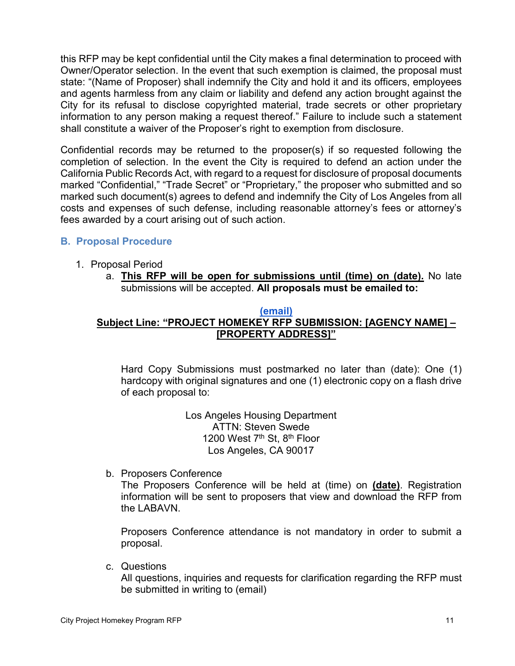this RFP may be kept confidential until the City makes a final determination to proceed with Owner/Operator selection. In the event that such exemption is claimed, the proposal must state: "(Name of Proposer) shall indemnify the City and hold it and its officers, employees and agents harmless from any claim or liability and defend any action brought against the City for its refusal to disclose copyrighted material, trade secrets or other proprietary information to any person making a request thereof." Failure to include such a statement shall constitute a waiver of the Proposer's right to exemption from disclosure.

Confidential records may be returned to the proposer(s) if so requested following the completion of selection. In the event the City is required to defend an action under the California Public Records Act, with regard to a request for disclosure of proposal documents marked "Confidential," "Trade Secret" or "Proprietary," the proposer who submitted and so marked such document(s) agrees to defend and indemnify the City of Los Angeles from all costs and expenses of such defense, including reasonable attorney's fees or attorney's fees awarded by a court arising out of such action.

# <span id="page-47-0"></span>**B. Proposal Procedure**

- 1. Proposal Period
	- a. **This RFP will be open for submissions until (time) on (date).** No late submissions will be accepted. **All proposals must be emailed to:**

# **[\(email\)](mailto:CAO.homelessness@lacity.org)**

#### **Subject Line: "PROJECT HOMEKEY RFP SUBMISSION: [AGENCY NAME] – [PROPERTY ADDRESS]"**

Hard Copy Submissions must postmarked no later than (date): One (1) hardcopy with original signatures and one (1) electronic copy on a flash drive of each proposal to:

> Los Angeles Housing Department ATTN: Steven Swede 1200 West 7<sup>th</sup> St, 8<sup>th</sup> Floor Los Angeles, CA 90017

b. Proposers Conference

The Proposers Conference will be held at (time) on **(date)**. Registration information will be sent to proposers that view and download the RFP from the LABAVN.

Proposers Conference attendance is not mandatory in order to submit a proposal.

c. Questions

All questions, inquiries and requests for clarification regarding the RFP must be submitted in writing to (email)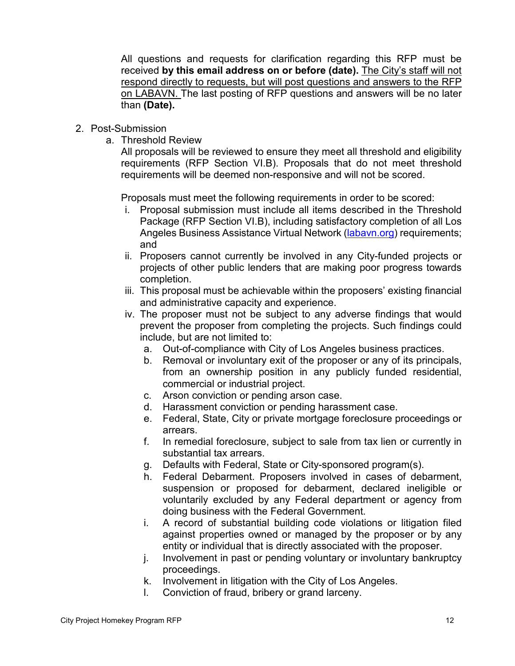All questions and requests for clarification regarding this RFP must be received **by this email address on or before (date).** The City's staff will not respond directly to requests, but will post questions and answers to the RFP on LABAVN. The last posting of RFP questions and answers will be no later than **(Date).** 

- 2. Post-Submission
	- a. Threshold Review

All proposals will be reviewed to ensure they meet all threshold and eligibility requirements (RFP Section VI.B). Proposals that do not meet threshold requirements will be deemed non-responsive and will not be scored.

Proposals must meet the following requirements in order to be scored:

- i. Proposal submission must include all items described in the Threshold Package (RFP Section VI.B), including satisfactory completion of all Los Angeles Business Assistance Virtual Network [\(labavn.org\)](https://labavn.org/) requirements; and
- ii. Proposers cannot currently be involved in any City-funded projects or projects of other public lenders that are making poor progress towards completion.
- iii. This proposal must be achievable within the proposers' existing financial and administrative capacity and experience.
- iv. The proposer must not be subject to any adverse findings that would prevent the proposer from completing the projects. Such findings could include, but are not limited to:
	- a. Out-of-compliance with City of Los Angeles business practices.
	- b. Removal or involuntary exit of the proposer or any of its principals, from an ownership position in any publicly funded residential, commercial or industrial project.
	- c. Arson conviction or pending arson case.
	- d. Harassment conviction or pending harassment case.
	- e. Federal, State, City or private mortgage foreclosure proceedings or arrears.
	- f. In remedial foreclosure, subject to sale from tax lien or currently in substantial tax arrears.
	- g. Defaults with Federal, State or City-sponsored program(s).
	- h. Federal Debarment. Proposers involved in cases of debarment, suspension or proposed for debarment, declared ineligible or voluntarily excluded by any Federal department or agency from doing business with the Federal Government.
	- i. A record of substantial building code violations or litigation filed against properties owned or managed by the proposer or by any entity or individual that is directly associated with the proposer.
	- j. Involvement in past or pending voluntary or involuntary bankruptcy proceedings.
	- k. Involvement in litigation with the City of Los Angeles.
	- l. Conviction of fraud, bribery or grand larceny.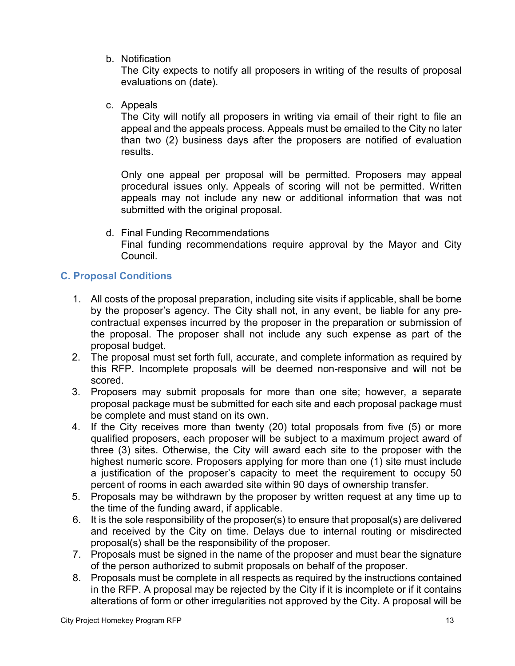b. Notification

The City expects to notify all proposers in writing of the results of proposal evaluations on (date).

c. Appeals

The City will notify all proposers in writing via email of their right to file an appeal and the appeals process. Appeals must be emailed to the City no later than two (2) business days after the proposers are notified of evaluation results.

Only one appeal per proposal will be permitted. Proposers may appeal procedural issues only. Appeals of scoring will not be permitted. Written appeals may not include any new or additional information that was not submitted with the original proposal.

d. Final Funding Recommendations Final funding recommendations require approval by the Mayor and City Council.

# <span id="page-49-0"></span>**C. Proposal Conditions**

- 1. All costs of the proposal preparation, including site visits if applicable, shall be borne by the proposer's agency. The City shall not, in any event, be liable for any precontractual expenses incurred by the proposer in the preparation or submission of the proposal. The proposer shall not include any such expense as part of the proposal budget.
- 2. The proposal must set forth full, accurate, and complete information as required by this RFP. Incomplete proposals will be deemed non-responsive and will not be scored.
- 3. Proposers may submit proposals for more than one site; however, a separate proposal package must be submitted for each site and each proposal package must be complete and must stand on its own.
- 4. If the City receives more than twenty (20) total proposals from five (5) or more qualified proposers, each proposer will be subject to a maximum project award of three (3) sites. Otherwise, the City will award each site to the proposer with the highest numeric score. Proposers applying for more than one (1) site must include a justification of the proposer's capacity to meet the requirement to occupy 50 percent of rooms in each awarded site within 90 days of ownership transfer.
- 5. Proposals may be withdrawn by the proposer by written request at any time up to the time of the funding award, if applicable.
- 6. It is the sole responsibility of the proposer(s) to ensure that proposal(s) are delivered and received by the City on time. Delays due to internal routing or misdirected proposal(s) shall be the responsibility of the proposer.
- 7. Proposals must be signed in the name of the proposer and must bear the signature of the person authorized to submit proposals on behalf of the proposer.
- 8. Proposals must be complete in all respects as required by the instructions contained in the RFP. A proposal may be rejected by the City if it is incomplete or if it contains alterations of form or other irregularities not approved by the City. A proposal will be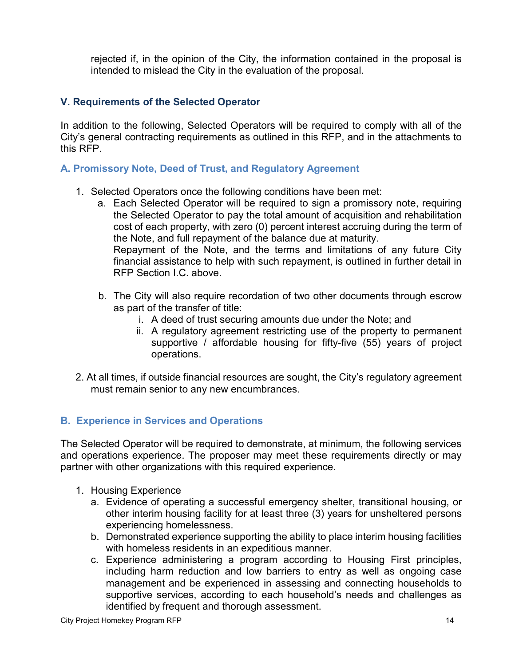rejected if, in the opinion of the City, the information contained in the proposal is intended to mislead the City in the evaluation of the proposal.

#### <span id="page-50-0"></span>**V. Requirements of the Selected Operator**

In addition to the following, Selected Operators will be required to comply with all of the City's general contracting requirements as outlined in this RFP, and in the attachments to this RFP.

#### <span id="page-50-1"></span>**A. Promissory Note, Deed of Trust, and Regulatory Agreement**

- 1. Selected Operators once the following conditions have been met:
	- a. Each Selected Operator will be required to sign a promissory note, requiring the Selected Operator to pay the total amount of acquisition and rehabilitation cost of each property, with zero (0) percent interest accruing during the term of the Note, and full repayment of the balance due at maturity. Repayment of the Note, and the terms and limitations of any future City

financial assistance to help with such repayment, is outlined in further detail in RFP Section I.C. above.

- b. The City will also require recordation of two other documents through escrow as part of the transfer of title:
	- i. A deed of trust securing amounts due under the Note; and
	- ii. A regulatory agreement restricting use of the property to permanent supportive / affordable housing for fifty-five (55) years of project operations.
- 2. At all times, if outside financial resources are sought, the City's regulatory agreement must remain senior to any new encumbrances.

#### <span id="page-50-2"></span>**B. Experience in Services and Operations**

The Selected Operator will be required to demonstrate, at minimum, the following services and operations experience. The proposer may meet these requirements directly or may partner with other organizations with this required experience.

- 1. Housing Experience
	- a. Evidence of operating a successful emergency shelter, transitional housing, or other interim housing facility for at least three (3) years for unsheltered persons experiencing homelessness.
	- b. Demonstrated experience supporting the ability to place interim housing facilities with homeless residents in an expeditious manner.
	- c. Experience administering a program according to Housing First principles, including harm reduction and low barriers to entry as well as ongoing case management and be experienced in assessing and connecting households to supportive services, according to each household's needs and challenges as identified by frequent and thorough assessment.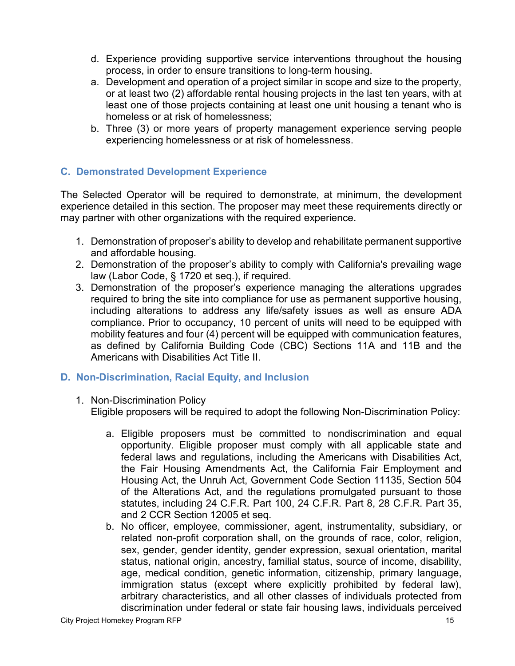- d. Experience providing supportive service interventions throughout the housing process, in order to ensure transitions to long-term housing.
- a. Development and operation of a project similar in scope and size to the property, or at least two (2) affordable rental housing projects in the last ten years, with at least one of those projects containing at least one unit housing a tenant who is homeless or at risk of homelessness;
- b. Three (3) or more years of property management experience serving people experiencing homelessness or at risk of homelessness.

# <span id="page-51-0"></span>**C. Demonstrated Development Experience**

The Selected Operator will be required to demonstrate, at minimum, the development experience detailed in this section. The proposer may meet these requirements directly or may partner with other organizations with the required experience.

- 1. Demonstration of proposer's ability to develop and rehabilitate permanent supportive and affordable housing.
- 2. Demonstration of the proposer's ability to comply with California's prevailing wage law (Labor Code, § 1720 et seq.), if required.
- 3. Demonstration of the proposer's experience managing the alterations upgrades required to bring the site into compliance for use as permanent supportive housing, including alterations to address any life/safety issues as well as ensure ADA compliance. Prior to occupancy, 10 percent of units will need to be equipped with mobility features and four (4) percent will be equipped with communication features, as defined by California Building Code (CBC) Sections 11A and 11B and the Americans with Disabilities Act Title II.

# <span id="page-51-1"></span>**D. Non-Discrimination, Racial Equity, and Inclusion**

1. Non-Discrimination Policy

Eligible proposers will be required to adopt the following Non-Discrimination Policy:

- a. Eligible proposers must be committed to nondiscrimination and equal opportunity. Eligible proposer must comply with all applicable state and federal laws and regulations, including the Americans with Disabilities Act, the Fair Housing Amendments Act, the California Fair Employment and Housing Act, the Unruh Act, Government Code Section 11135, Section 504 of the Alterations Act, and the regulations promulgated pursuant to those statutes, including 24 C.F.R. Part 100, 24 C.F.R. Part 8, 28 C.F.R. Part 35, and 2 CCR Section 12005 et seq.
- b. No officer, employee, commissioner, agent, instrumentality, subsidiary, or related non-profit corporation shall, on the grounds of race, color, religion, sex, gender, gender identity, gender expression, sexual orientation, marital status, national origin, ancestry, familial status, source of income, disability, age, medical condition, genetic information, citizenship, primary language, immigration status (except where explicitly prohibited by federal law), arbitrary characteristics, and all other classes of individuals protected from discrimination under federal or state fair housing laws, individuals perceived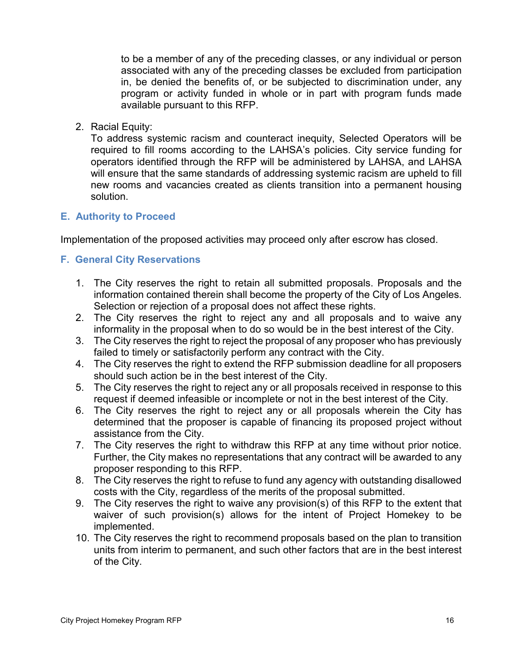to be a member of any of the preceding classes, or any individual or person associated with any of the preceding classes be excluded from participation in, be denied the benefits of, or be subjected to discrimination under, any program or activity funded in whole or in part with program funds made available pursuant to this RFP.

2. Racial Equity:

To address systemic racism and counteract inequity, Selected Operators will be required to fill rooms according to the LAHSA's policies. City service funding for operators identified through the RFP will be administered by LAHSA, and LAHSA will ensure that the same standards of addressing systemic racism are upheld to fill new rooms and vacancies created as clients transition into a permanent housing solution.

#### <span id="page-52-0"></span>**E. Authority to Proceed**

Implementation of the proposed activities may proceed only after escrow has closed.

#### <span id="page-52-1"></span>**F. General City Reservations**

- 1. The City reserves the right to retain all submitted proposals. Proposals and the information contained therein shall become the property of the City of Los Angeles. Selection or rejection of a proposal does not affect these rights.
- 2. The City reserves the right to reject any and all proposals and to waive any informality in the proposal when to do so would be in the best interest of the City.
- 3. The City reserves the right to reject the proposal of any proposer who has previously failed to timely or satisfactorily perform any contract with the City.
- 4. The City reserves the right to extend the RFP submission deadline for all proposers should such action be in the best interest of the City.
- 5. The City reserves the right to reject any or all proposals received in response to this request if deemed infeasible or incomplete or not in the best interest of the City.
- 6. The City reserves the right to reject any or all proposals wherein the City has determined that the proposer is capable of financing its proposed project without assistance from the City.
- 7. The City reserves the right to withdraw this RFP at any time without prior notice. Further, the City makes no representations that any contract will be awarded to any proposer responding to this RFP.
- 8. The City reserves the right to refuse to fund any agency with outstanding disallowed costs with the City, regardless of the merits of the proposal submitted.
- 9. The City reserves the right to waive any provision(s) of this RFP to the extent that waiver of such provision(s) allows for the intent of Project Homekey to be implemented.
- 10. The City reserves the right to recommend proposals based on the plan to transition units from interim to permanent, and such other factors that are in the best interest of the City.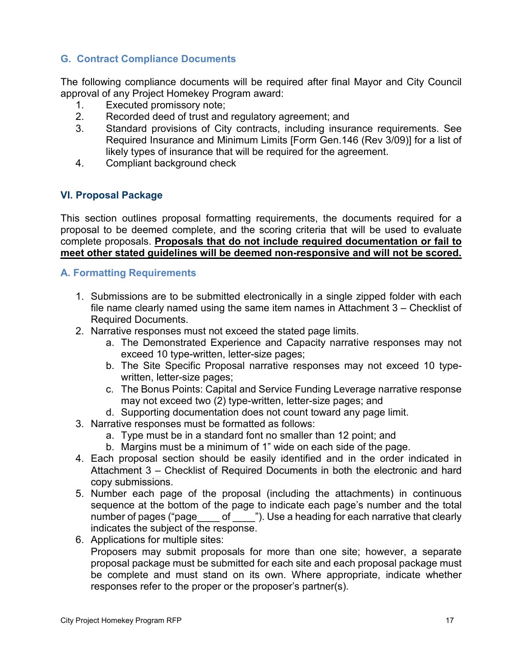# <span id="page-53-0"></span>**G. Contract Compliance Documents**

The following compliance documents will be required after final Mayor and City Council approval of any Project Homekey Program award:

- 1. Executed promissory note;
- 2. Recorded deed of trust and regulatory agreement; and
- 3. Standard provisions of City contracts, including insurance requirements. See Required Insurance and Minimum Limits [Form Gen.146 (Rev 3/09)] for a list of likely types of insurance that will be required for the agreement.
- <span id="page-53-1"></span>4. Compliant background check

#### **VI. Proposal Package**

This section outlines proposal formatting requirements, the documents required for a proposal to be deemed complete, and the scoring criteria that will be used to evaluate complete proposals. **Proposals that do not include required documentation or fail to meet other stated guidelines will be deemed non-responsive and will not be scored.** 

#### <span id="page-53-2"></span>**A. Formatting Requirements**

- 1. Submissions are to be submitted electronically in a single zipped folder with each file name clearly named using the same item names in Attachment 3 – Checklist of Required Documents.
- 2. Narrative responses must not exceed the stated page limits.
	- a. The Demonstrated Experience and Capacity narrative responses may not exceed 10 type-written, letter-size pages;
	- b. The Site Specific Proposal narrative responses may not exceed 10 typewritten, letter-size pages;
	- c. The Bonus Points: Capital and Service Funding Leverage narrative response may not exceed two (2) type-written, letter-size pages; and
	- d. Supporting documentation does not count toward any page limit.
- 3. Narrative responses must be formatted as follows:
	- a. Type must be in a standard font no smaller than 12 point; and
	- b. Margins must be a minimum of 1" wide on each side of the page.
- 4. Each proposal section should be easily identified and in the order indicated in Attachment 3 – Checklist of Required Documents in both the electronic and hard copy submissions.
- 5. Number each page of the proposal (including the attachments) in continuous sequence at the bottom of the page to indicate each page's number and the total number of pages ("page of "). Use a heading for each narrative that clearly indicates the subject of the response.
- 6. Applications for multiple sites:

Proposers may submit proposals for more than one site; however, a separate proposal package must be submitted for each site and each proposal package must be complete and must stand on its own. Where appropriate, indicate whether responses refer to the proper or the proposer's partner(s).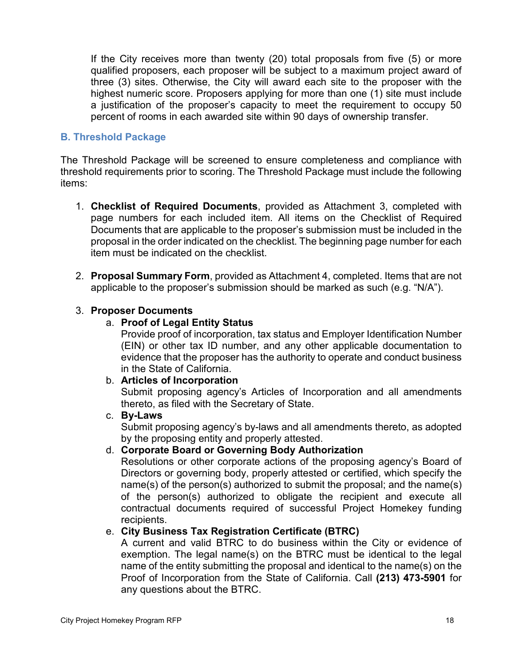If the City receives more than twenty (20) total proposals from five (5) or more qualified proposers, each proposer will be subject to a maximum project award of three (3) sites. Otherwise, the City will award each site to the proposer with the highest numeric score. Proposers applying for more than one (1) site must include a justification of the proposer's capacity to meet the requirement to occupy 50 percent of rooms in each awarded site within 90 days of ownership transfer.

#### <span id="page-54-0"></span>**B. Threshold Package**

The Threshold Package will be screened to ensure completeness and compliance with threshold requirements prior to scoring. The Threshold Package must include the following items:

- 1. **Checklist of Required Documents**, provided as Attachment 3, completed with page numbers for each included item. All items on the Checklist of Required Documents that are applicable to the proposer's submission must be included in the proposal in the order indicated on the checklist. The beginning page number for each item must be indicated on the checklist.
- 2. **Proposal Summary Form**, provided as Attachment 4, completed. Items that are not applicable to the proposer's submission should be marked as such (e.g. "N/A").

#### 3. **Proposer Documents**

#### a. **Proof of Legal Entity Status**

Provide proof of incorporation, tax status and Employer Identification Number (EIN) or other tax ID number, and any other applicable documentation to evidence that the proposer has the authority to operate and conduct business in the State of California.

#### b. **Articles of Incorporation**

Submit proposing agency's Articles of Incorporation and all amendments thereto, as filed with the Secretary of State.

#### c. **By-Laws**

Submit proposing agency's by-laws and all amendments thereto, as adopted by the proposing entity and properly attested.

# d. **Corporate Board or Governing Body Authorization**

Resolutions or other corporate actions of the proposing agency's Board of Directors or governing body, properly attested or certified, which specify the name(s) of the person(s) authorized to submit the proposal; and the name(s) of the person(s) authorized to obligate the recipient and execute all contractual documents required of successful Project Homekey funding recipients.

#### e. **City Business Tax Registration Certificate (BTRC)**

A current and valid BTRC to do business within the City or evidence of exemption. The legal name(s) on the BTRC must be identical to the legal name of the entity submitting the proposal and identical to the name(s) on the Proof of Incorporation from the State of California. Call **(213) 473-5901** for any questions about the BTRC.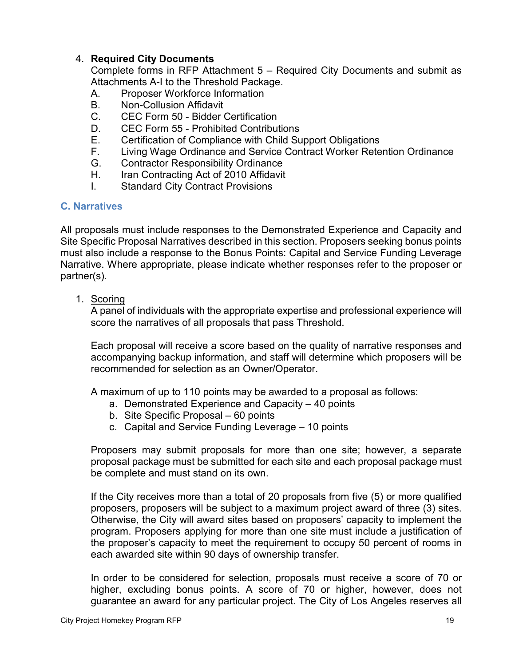#### 4. **Required City Documents**

Complete forms in RFP Attachment 5 – Required City Documents and submit as Attachments A-I to the Threshold Package.

- A. Proposer Workforce Information
- B. Non-Collusion Affidavit
- C. CEC Form 50 Bidder Certification
- D. CEC Form 55 Prohibited Contributions
- E. Certification of Compliance with Child Support Obligations
- F. Living Wage Ordinance and Service Contract Worker Retention Ordinance
- G. Contractor Responsibility Ordinance
- H. Iran Contracting Act of 2010 Affidavit
- I. Standard City Contract Provisions

#### <span id="page-55-0"></span>**C. Narratives**

All proposals must include responses to the Demonstrated Experience and Capacity and Site Specific Proposal Narratives described in this section. Proposers seeking bonus points must also include a response to the Bonus Points: Capital and Service Funding Leverage Narrative. Where appropriate, please indicate whether responses refer to the proposer or partner(s).

1. Scoring

A panel of individuals with the appropriate expertise and professional experience will score the narratives of all proposals that pass Threshold.

Each proposal will receive a score based on the quality of narrative responses and accompanying backup information, and staff will determine which proposers will be recommended for selection as an Owner/Operator.

A maximum of up to 110 points may be awarded to a proposal as follows:

- a. Demonstrated Experience and Capacity 40 points
- b. Site Specific Proposal 60 points
- c. Capital and Service Funding Leverage 10 points

Proposers may submit proposals for more than one site; however, a separate proposal package must be submitted for each site and each proposal package must be complete and must stand on its own.

If the City receives more than a total of 20 proposals from five (5) or more qualified proposers, proposers will be subject to a maximum project award of three (3) sites. Otherwise, the City will award sites based on proposers' capacity to implement the program. Proposers applying for more than one site must include a justification of the proposer's capacity to meet the requirement to occupy 50 percent of rooms in each awarded site within 90 days of ownership transfer.

In order to be considered for selection, proposals must receive a score of 70 or higher, excluding bonus points. A score of 70 or higher, however, does not guarantee an award for any particular project. The City of Los Angeles reserves all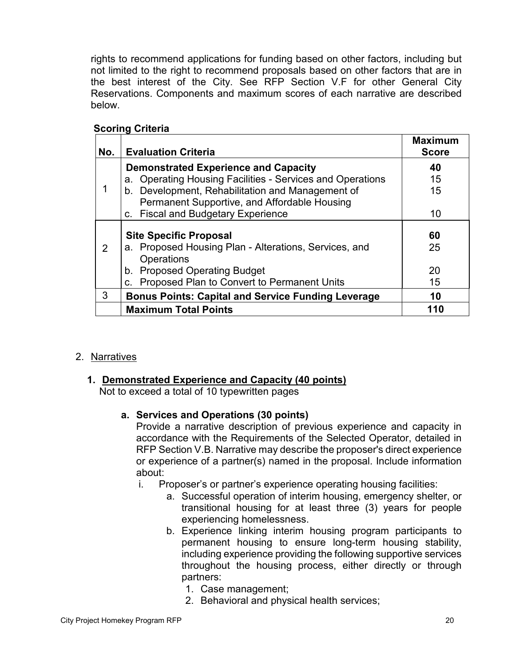rights to recommend applications for funding based on other factors, including but not limited to the right to recommend proposals based on other factors that are in the best interest of the City. See RFP Section V.F for other General City Reservations. Components and maximum scores of each narrative are described below.

| No. | <b>Evaluation Criteria</b>                                | <b>Maximum</b><br><b>Score</b> |
|-----|-----------------------------------------------------------|--------------------------------|
|     | <b>Demonstrated Experience and Capacity</b>               | 40                             |
|     | a. Operating Housing Facilities - Services and Operations | 15                             |
|     | b. Development, Rehabilitation and Management of          | 15                             |
|     | Permanent Supportive, and Affordable Housing              |                                |
|     | c. Fiscal and Budgetary Experience                        | 10                             |
|     |                                                           |                                |
|     | <b>Site Specific Proposal</b>                             | 60                             |
| 2   | a. Proposed Housing Plan - Alterations, Services, and     | 25                             |
|     | Operations                                                |                                |
|     | b. Proposed Operating Budget                              | 20                             |
|     | c. Proposed Plan to Convert to Permanent Units            | 15                             |
| 3   | <b>Bonus Points: Capital and Service Funding Leverage</b> | 10                             |
|     | <b>Maximum Total Points</b>                               | 110                            |

# **Scoring Criteria**

# 2. Narratives

# **1. Demonstrated Experience and Capacity (40 points)**

Not to exceed a total of 10 typewritten pages

# **a. Services and Operations (30 points)**

Provide a narrative description of previous experience and capacity in accordance with the Requirements of the Selected Operator, detailed in RFP Section V.B. Narrative may describe the proposer's direct experience or experience of a partner(s) named in the proposal. Include information about:

- i. Proposer's or partner's experience operating housing facilities:
	- a. Successful operation of interim housing, emergency shelter, or transitional housing for at least three (3) years for people experiencing homelessness.
	- b. Experience linking interim housing program participants to permanent housing to ensure long-term housing stability, including experience providing the following supportive services throughout the housing process, either directly or through partners:
		- 1. Case management;
		- 2. Behavioral and physical health services;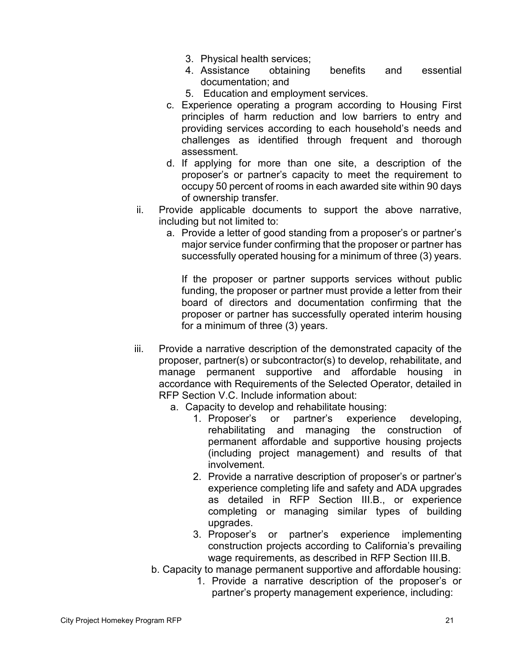- 3. Physical health services;
- 4. Assistance obtaining benefits and essential documentation; and
- 5. Education and employment services.
- c. Experience operating a program according to Housing First principles of harm reduction and low barriers to entry and providing services according to each household's needs and challenges as identified through frequent and thorough assessment.
- d. If applying for more than one site, a description of the proposer's or partner's capacity to meet the requirement to occupy 50 percent of rooms in each awarded site within 90 days of ownership transfer.
- ii. Provide applicable documents to support the above narrative, including but not limited to:
	- a. Provide a letter of good standing from a proposer's or partner's major service funder confirming that the proposer or partner has successfully operated housing for a minimum of three (3) years.

If the proposer or partner supports services without public funding, the proposer or partner must provide a letter from their board of directors and documentation confirming that the proposer or partner has successfully operated interim housing for a minimum of three (3) years.

- iii. Provide a narrative description of the demonstrated capacity of the proposer, partner(s) or subcontractor(s) to develop, rehabilitate, and manage permanent supportive and affordable housing in accordance with Requirements of the Selected Operator, detailed in RFP Section V.C. Include information about:
	- a. Capacity to develop and rehabilitate housing:
		- 1. Proposer's or partner's experience developing, rehabilitating and managing the construction of permanent affordable and supportive housing projects (including project management) and results of that involvement.
		- 2. Provide a narrative description of proposer's or partner's experience completing life and safety and ADA upgrades as detailed in RFP Section III.B., or experience completing or managing similar types of building upgrades.
		- 3. Proposer's or partner's experience implementing construction projects according to California's prevailing wage requirements, as described in RFP Section III.B.
	- b. Capacity to manage permanent supportive and affordable housing:
		- 1. Provide a narrative description of the proposer's or partner's property management experience, including: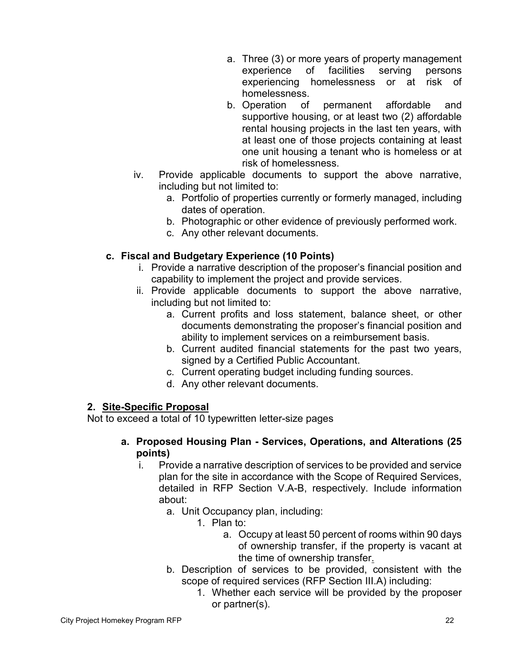- a. Three (3) or more years of property management experience of facilities serving persons experiencing homelessness or at risk of homelessness.
- b. Operation of permanent affordable and supportive housing, or at least two (2) affordable rental housing projects in the last ten years, with at least one of those projects containing at least one unit housing a tenant who is homeless or at risk of homelessness.
- iv. Provide applicable documents to support the above narrative, including but not limited to:
	- a. Portfolio of properties currently or formerly managed, including dates of operation.
	- b. Photographic or other evidence of previously performed work.
	- c. Any other relevant documents.

# **c. Fiscal and Budgetary Experience (10 Points)**

- i. Provide a narrative description of the proposer's financial position and capability to implement the project and provide services.
- ii. Provide applicable documents to support the above narrative, including but not limited to:
	- a. Current profits and loss statement, balance sheet, or other documents demonstrating the proposer's financial position and ability to implement services on a reimbursement basis.
	- b. Current audited financial statements for the past two years, signed by a Certified Public Accountant.
	- c. Current operating budget including funding sources.
	- d. Any other relevant documents.

#### **2. Site-Specific Proposal**

Not to exceed a total of 10 typewritten letter-size pages

#### **a. Proposed Housing Plan - Services, Operations, and Alterations (25 points)**

- i. Provide a narrative description of services to be provided and service plan for the site in accordance with the Scope of Required Services, detailed in RFP Section V.A-B, respectively. Include information about:
	- a. Unit Occupancy plan, including:
		- 1. Plan to:
			- a. Occupy at least 50 percent of rooms within 90 days of ownership transfer, if the property is vacant at the time of ownership transfer.
	- b. Description of services to be provided, consistent with the scope of required services (RFP Section III.A) including:
		- 1. Whether each service will be provided by the proposer or partner(s).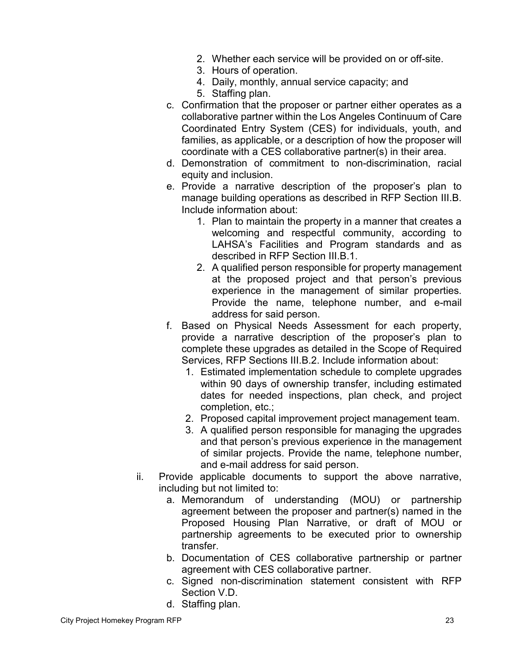- 2. Whether each service will be provided on or off-site.
- 3. Hours of operation.
- 4. Daily, monthly, annual service capacity; and
- 5. Staffing plan.
- c. Confirmation that the proposer or partner either operates as a collaborative partner within the Los Angeles Continuum of Care Coordinated Entry System (CES) for individuals, youth, and families, as applicable, or a description of how the proposer will coordinate with a CES collaborative partner(s) in their area.
- d. Demonstration of commitment to non-discrimination, racial equity and inclusion.
- e. Provide a narrative description of the proposer's plan to manage building operations as described in RFP Section III.B. Include information about:
	- 1. Plan to maintain the property in a manner that creates a welcoming and respectful community, according to LAHSA's Facilities and Program standards and as described in RFP Section III.B.1.
	- 2. A qualified person responsible for property management at the proposed project and that person's previous experience in the management of similar properties. Provide the name, telephone number, and e-mail address for said person.
- f. Based on Physical Needs Assessment for each property, provide a narrative description of the proposer's plan to complete these upgrades as detailed in the Scope of Required Services, RFP Sections III.B.2. Include information about:
	- 1. Estimated implementation schedule to complete upgrades within 90 days of ownership transfer, including estimated dates for needed inspections, plan check, and project completion, etc.;
	- 2. Proposed capital improvement project management team.
	- 3. A qualified person responsible for managing the upgrades and that person's previous experience in the management of similar projects. Provide the name, telephone number, and e-mail address for said person.
- ii. Provide applicable documents to support the above narrative, including but not limited to:
	- a. Memorandum of understanding (MOU) or partnership agreement between the proposer and partner(s) named in the Proposed Housing Plan Narrative, or draft of MOU or partnership agreements to be executed prior to ownership transfer.
	- b. Documentation of CES collaborative partnership or partner agreement with CES collaborative partner.
	- c. Signed non-discrimination statement consistent with RFP Section V.D.
	- d. Staffing plan.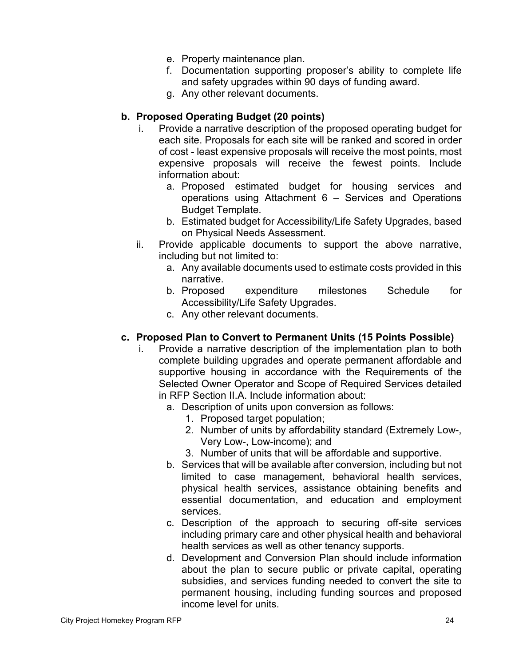- e. Property maintenance plan.
- f. Documentation supporting proposer's ability to complete life and safety upgrades within 90 days of funding award.
- g. Any other relevant documents.

# **b. Proposed Operating Budget (20 points)**

- i. Provide a narrative description of the proposed operating budget for each site. Proposals for each site will be ranked and scored in order of cost - least expensive proposals will receive the most points, most expensive proposals will receive the fewest points. Include information about:
	- a. Proposed estimated budget for housing services and operations using Attachment 6 – Services and Operations Budget Template.
	- b. Estimated budget for Accessibility/Life Safety Upgrades, based on Physical Needs Assessment.
- ii. Provide applicable documents to support the above narrative, including but not limited to:
	- a. Any available documents used to estimate costs provided in this narrative.
	- b. Proposed expenditure milestones Schedule for Accessibility/Life Safety Upgrades.
	- c. Any other relevant documents.

# **c. Proposed Plan to Convert to Permanent Units (15 Points Possible)**

- i. Provide a narrative description of the implementation plan to both complete building upgrades and operate permanent affordable and supportive housing in accordance with the Requirements of the Selected Owner Operator and Scope of Required Services detailed in RFP Section II.A. Include information about:
	- a. Description of units upon conversion as follows:
		- 1. Proposed target population;
		- 2. Number of units by affordability standard (Extremely Low-, Very Low-, Low-income); and
		- 3. Number of units that will be affordable and supportive.
	- b. Services that will be available after conversion, including but not limited to case management, behavioral health services, physical health services, assistance obtaining benefits and essential documentation, and education and employment services.
	- c. Description of the approach to securing off-site services including primary care and other physical health and behavioral health services as well as other tenancy supports.
	- d. Development and Conversion Plan should include information about the plan to secure public or private capital, operating subsidies, and services funding needed to convert the site to permanent housing, including funding sources and proposed income level for units.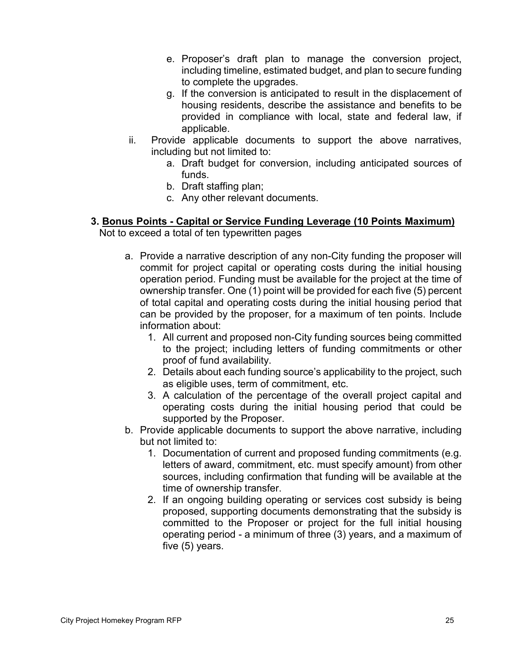- e. Proposer's draft plan to manage the conversion project, including timeline, estimated budget, and plan to secure funding to complete the upgrades.
- g. If the conversion is anticipated to result in the displacement of housing residents, describe the assistance and benefits to be provided in compliance with local, state and federal law, if applicable.
- ii. Provide applicable documents to support the above narratives, including but not limited to:
	- a. Draft budget for conversion, including anticipated sources of funds.
	- b. Draft staffing plan;
	- c. Any other relevant documents.

#### **3. Bonus Points - Capital or Service Funding Leverage (10 Points Maximum)** Not to exceed a total of ten typewritten pages

- a. Provide a narrative description of any non-City funding the proposer will commit for project capital or operating costs during the initial housing operation period. Funding must be available for the project at the time of ownership transfer. One (1) point will be provided for each five (5) percent of total capital and operating costs during the initial housing period that can be provided by the proposer, for a maximum of ten points. Include information about:
	- 1. All current and proposed non-City funding sources being committed to the project; including letters of funding commitments or other proof of fund availability.
	- 2. Details about each funding source's applicability to the project, such as eligible uses, term of commitment, etc.
	- 3. A calculation of the percentage of the overall project capital and operating costs during the initial housing period that could be supported by the Proposer.
- b. Provide applicable documents to support the above narrative, including but not limited to:
	- 1. Documentation of current and proposed funding commitments (e.g. letters of award, commitment, etc. must specify amount) from other sources, including confirmation that funding will be available at the time of ownership transfer.
	- 2. If an ongoing building operating or services cost subsidy is being proposed, supporting documents demonstrating that the subsidy is committed to the Proposer or project for the full initial housing operating period - a minimum of three (3) years, and a maximum of five (5) years.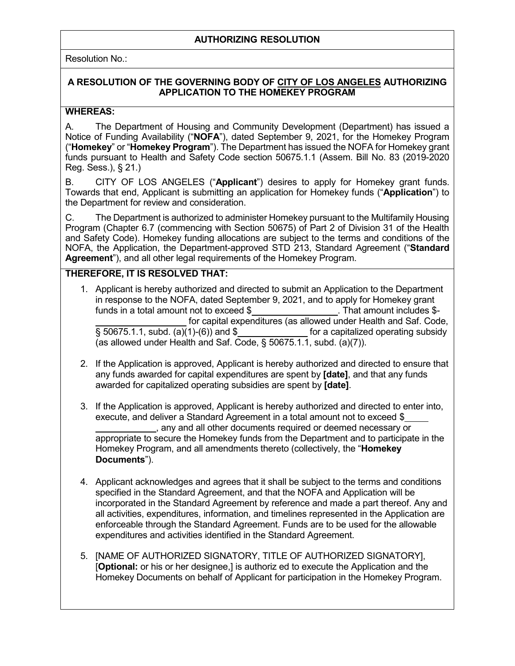#### **AUTHORIZING RESOLUTION**

Resolution No.:

#### **A RESOLUTION OF THE GOVERNING BODY OF CITY OF LOS ANGELES AUTHORIZING APPLICATION TO THE HOMEKEY PROGRAM**

#### **WHEREAS:**

A. The Department of Housing and Community Development (Department) has issued a Notice of Funding Availability ("**NOFA**"), dated September 9, 2021, for the Homekey Program ("**Homekey**" or "**Homekey Program**"). The Department has issued the NOFA for Homekey grant funds pursuant to Health and Safety Code section 50675.1.1 (Assem. Bill No. 83 (2019-2020 Reg. Sess.), § 21.)

B. CITY OF LOS ANGELES ("**Applicant**") desires to apply for Homekey grant funds. Towards that end, Applicant is submitting an application for Homekey funds ("**Application**") to the Department for review and consideration.

C. The Department is authorized to administer Homekey pursuant to the Multifamily Housing Program (Chapter 6.7 (commencing with Section 50675) of Part 2 of Division 31 of the Health and Safety Code). Homekey funding allocations are subject to the terms and conditions of the NOFA, the Application, the Department-approved STD 213, Standard Agreement ("**Standard Agreement**"), and all other legal requirements of the Homekey Program.

#### **THEREFORE, IT IS RESOLVED THAT:**

- 1. Applicant is hereby authorized and directed to submit an Application to the Department in response to the NOFA, dated September 9, 2021, and to apply for Homekey grant funds in a total amount not to exceed  $$$ . That amount includes  $$$ funds in a total amount not to exceed  $$$ for capital expenditures (as allowed under Health and Saf. Code, § 50675.1.1, subd. (a)(1)-(6)) and \$ for a capitalized operating subsidy (as allowed under Health and Saf. Code, § 50675.1.1, subd. (a)(7)).
- 2. If the Application is approved, Applicant is hereby authorized and directed to ensure that any funds awarded for capital expenditures are spent by **[date]**, and that any funds awarded for capitalized operating subsidies are spent by **[date]**.
- 3. If the Application is approved, Applicant is hereby authorized and directed to enter into, execute, and deliver a Standard Agreement in a total amount not to exceed \$ , any and all other documents required or deemed necessary or appropriate to secure the Homekey funds from the Department and to participate in the Homekey Program, and all amendments thereto (collectively, the "**Homekey Documents**").
- 4. Applicant acknowledges and agrees that it shall be subject to the terms and conditions specified in the Standard Agreement, and that the NOFA and Application will be incorporated in the Standard Agreement by reference and made a part thereof. Any and all activities, expenditures, information, and timelines represented in the Application are enforceable through the Standard Agreement. Funds are to be used for the allowable expenditures and activities identified in the Standard Agreement.
- 5. [NAME OF AUTHORIZED SIGNATORY, TITLE OF AUTHORIZED SIGNATORY], [**Optional:** or his or her designee,] is authoriz ed to execute the Application and the Homekey Documents on behalf of Applicant for participation in the Homekey Program.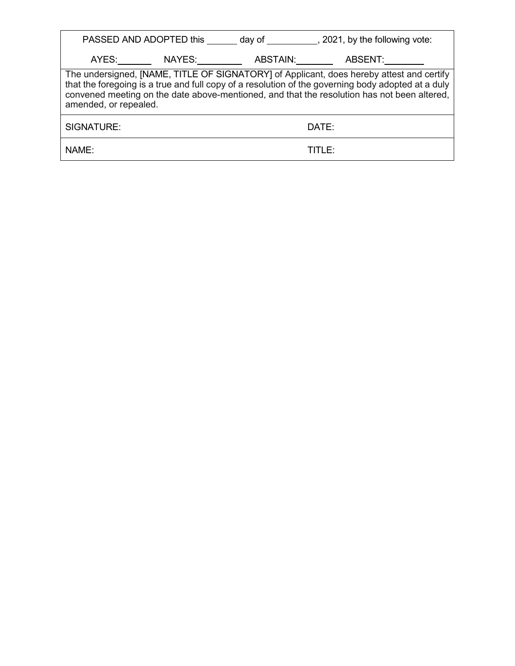| PASSED AND ADOPTED this _______ day of ____________, 2021, by the following vote:                                                                                                                                                                                                                                      |          |         |
|------------------------------------------------------------------------------------------------------------------------------------------------------------------------------------------------------------------------------------------------------------------------------------------------------------------------|----------|---------|
| AYES: NAYES:                                                                                                                                                                                                                                                                                                           | ABSTAIN: | ABSENT: |
| The undersigned, [NAME, TITLE OF SIGNATORY] of Applicant, does hereby attest and certify<br>that the foregoing is a true and full copy of a resolution of the governing body adopted at a duly<br>convened meeting on the date above-mentioned, and that the resolution has not been altered,<br>amended, or repealed. |          |         |
| SIGNATURE:                                                                                                                                                                                                                                                                                                             |          | DATE:   |
| NAME:                                                                                                                                                                                                                                                                                                                  |          |         |